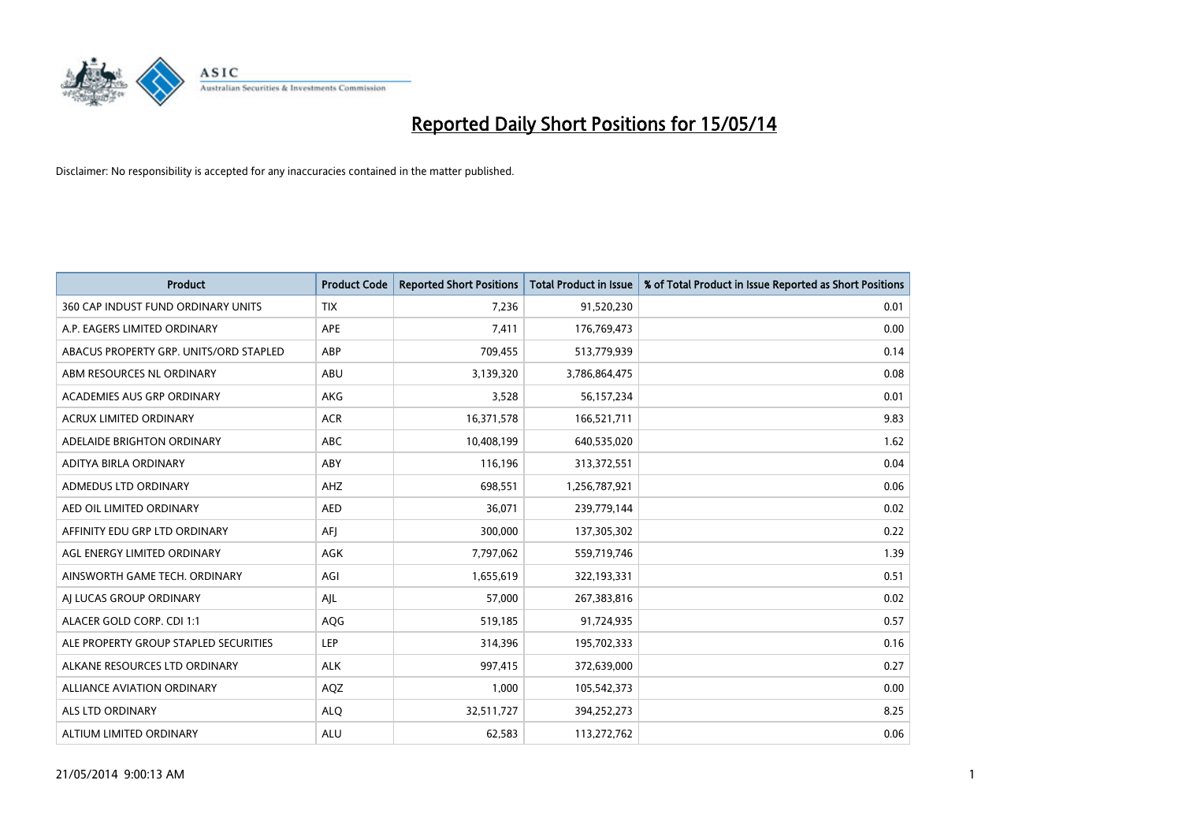

| <b>Product</b>                         | <b>Product Code</b> | <b>Reported Short Positions</b> | <b>Total Product in Issue</b> | % of Total Product in Issue Reported as Short Positions |
|----------------------------------------|---------------------|---------------------------------|-------------------------------|---------------------------------------------------------|
| 360 CAP INDUST FUND ORDINARY UNITS     | <b>TIX</b>          | 7,236                           | 91,520,230                    | 0.01                                                    |
| A.P. EAGERS LIMITED ORDINARY           | APE                 | 7,411                           | 176,769,473                   | 0.00                                                    |
| ABACUS PROPERTY GRP. UNITS/ORD STAPLED | ABP                 | 709,455                         | 513,779,939                   | 0.14                                                    |
| ABM RESOURCES NL ORDINARY              | ABU                 | 3,139,320                       | 3,786,864,475                 | 0.08                                                    |
| ACADEMIES AUS GRP ORDINARY             | AKG                 | 3,528                           | 56,157,234                    | 0.01                                                    |
| ACRUX LIMITED ORDINARY                 | <b>ACR</b>          | 16,371,578                      | 166,521,711                   | 9.83                                                    |
| ADELAIDE BRIGHTON ORDINARY             | ABC                 | 10,408,199                      | 640,535,020                   | 1.62                                                    |
| ADITYA BIRLA ORDINARY                  | ABY                 | 116,196                         | 313,372,551                   | 0.04                                                    |
| ADMEDUS LTD ORDINARY                   | AHZ                 | 698,551                         | 1,256,787,921                 | 0.06                                                    |
| AED OIL LIMITED ORDINARY               | <b>AED</b>          | 36,071                          | 239,779,144                   | 0.02                                                    |
| AFFINITY EDU GRP LTD ORDINARY          | AFI                 | 300,000                         | 137,305,302                   | 0.22                                                    |
| AGL ENERGY LIMITED ORDINARY            | <b>AGK</b>          | 7,797,062                       | 559,719,746                   | 1.39                                                    |
| AINSWORTH GAME TECH. ORDINARY          | AGI                 | 1,655,619                       | 322,193,331                   | 0.51                                                    |
| AI LUCAS GROUP ORDINARY                | AJL                 | 57,000                          | 267,383,816                   | 0.02                                                    |
| ALACER GOLD CORP. CDI 1:1              | AQG                 | 519,185                         | 91,724,935                    | 0.57                                                    |
| ALE PROPERTY GROUP STAPLED SECURITIES  | LEP                 | 314,396                         | 195,702,333                   | 0.16                                                    |
| ALKANE RESOURCES LTD ORDINARY          | <b>ALK</b>          | 997,415                         | 372,639,000                   | 0.27                                                    |
| ALLIANCE AVIATION ORDINARY             | AQZ                 | 1,000                           | 105,542,373                   | 0.00                                                    |
| ALS LTD ORDINARY                       | <b>ALQ</b>          | 32,511,727                      | 394,252,273                   | 8.25                                                    |
| ALTIUM LIMITED ORDINARY                | <b>ALU</b>          | 62,583                          | 113,272,762                   | 0.06                                                    |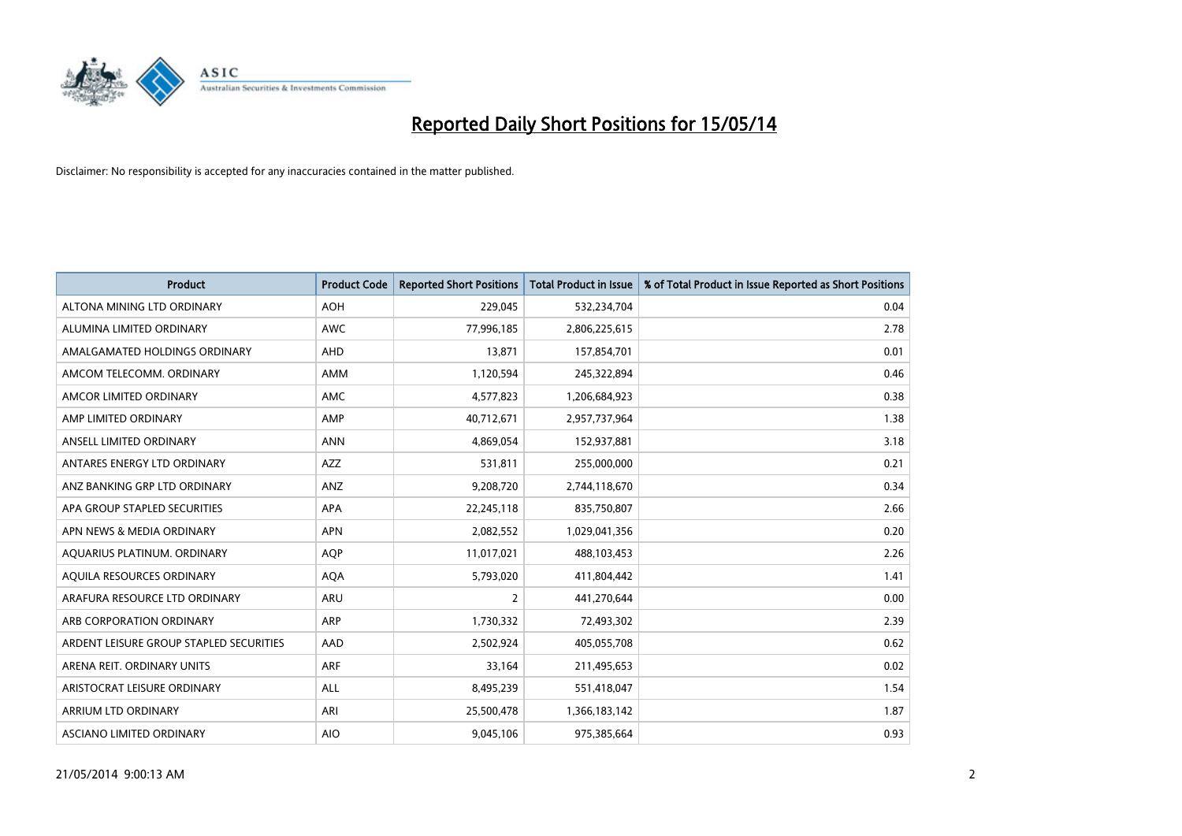

| <b>Product</b>                          | <b>Product Code</b> | <b>Reported Short Positions</b> | <b>Total Product in Issue</b> | % of Total Product in Issue Reported as Short Positions |
|-----------------------------------------|---------------------|---------------------------------|-------------------------------|---------------------------------------------------------|
| ALTONA MINING LTD ORDINARY              | <b>AOH</b>          | 229,045                         | 532,234,704                   | 0.04                                                    |
| ALUMINA LIMITED ORDINARY                | AWC                 | 77,996,185                      | 2,806,225,615                 | 2.78                                                    |
| AMALGAMATED HOLDINGS ORDINARY           | AHD                 | 13,871                          | 157,854,701                   | 0.01                                                    |
| AMCOM TELECOMM. ORDINARY                | AMM                 | 1,120,594                       | 245,322,894                   | 0.46                                                    |
| AMCOR LIMITED ORDINARY                  | AMC                 | 4,577,823                       | 1,206,684,923                 | 0.38                                                    |
| AMP LIMITED ORDINARY                    | AMP                 | 40,712,671                      | 2,957,737,964                 | 1.38                                                    |
| ANSELL LIMITED ORDINARY                 | <b>ANN</b>          | 4,869,054                       | 152,937,881                   | 3.18                                                    |
| ANTARES ENERGY LTD ORDINARY             | AZZ                 | 531,811                         | 255,000,000                   | 0.21                                                    |
| ANZ BANKING GRP LTD ORDINARY            | ANZ                 | 9,208,720                       | 2,744,118,670                 | 0.34                                                    |
| APA GROUP STAPLED SECURITIES            | <b>APA</b>          | 22,245,118                      | 835,750,807                   | 2.66                                                    |
| APN NEWS & MEDIA ORDINARY               | <b>APN</b>          | 2,082,552                       | 1,029,041,356                 | 0.20                                                    |
| AQUARIUS PLATINUM. ORDINARY             | AQP                 | 11,017,021                      | 488,103,453                   | 2.26                                                    |
| AQUILA RESOURCES ORDINARY               | <b>AQA</b>          | 5,793,020                       | 411,804,442                   | 1.41                                                    |
| ARAFURA RESOURCE LTD ORDINARY           | ARU                 | 2                               | 441,270,644                   | 0.00                                                    |
| ARB CORPORATION ORDINARY                | ARP                 | 1,730,332                       | 72,493,302                    | 2.39                                                    |
| ARDENT LEISURE GROUP STAPLED SECURITIES | AAD                 | 2,502,924                       | 405,055,708                   | 0.62                                                    |
| ARENA REIT. ORDINARY UNITS              | ARF                 | 33,164                          | 211,495,653                   | 0.02                                                    |
| ARISTOCRAT LEISURE ORDINARY             | <b>ALL</b>          | 8,495,239                       | 551,418,047                   | 1.54                                                    |
| ARRIUM LTD ORDINARY                     | ARI                 | 25,500,478                      | 1,366,183,142                 | 1.87                                                    |
| ASCIANO LIMITED ORDINARY                | <b>AIO</b>          | 9,045,106                       | 975,385,664                   | 0.93                                                    |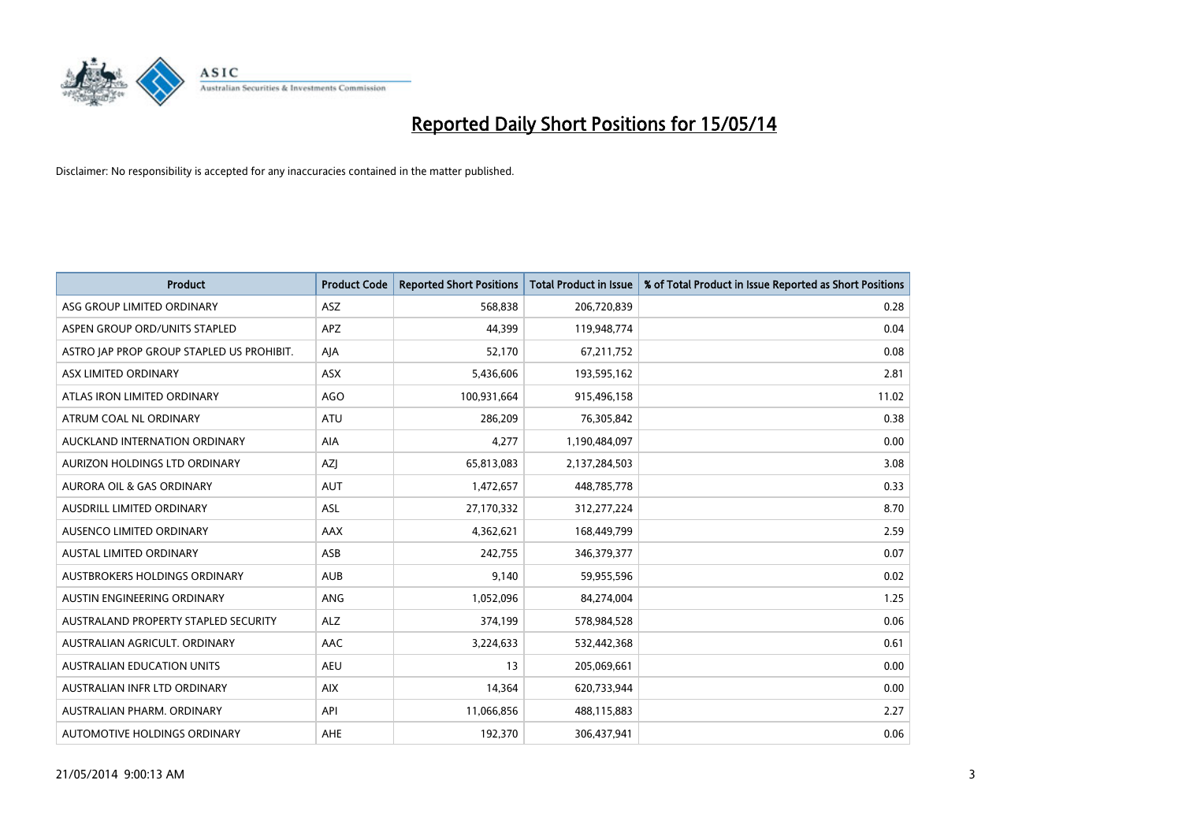

| <b>Product</b>                            | <b>Product Code</b> | <b>Reported Short Positions</b> | <b>Total Product in Issue</b> | % of Total Product in Issue Reported as Short Positions |
|-------------------------------------------|---------------------|---------------------------------|-------------------------------|---------------------------------------------------------|
| ASG GROUP LIMITED ORDINARY                | ASZ                 | 568,838                         | 206,720,839                   | 0.28                                                    |
| ASPEN GROUP ORD/UNITS STAPLED             | APZ                 | 44,399                          | 119,948,774                   | 0.04                                                    |
| ASTRO JAP PROP GROUP STAPLED US PROHIBIT. | AJA                 | 52,170                          | 67,211,752                    | 0.08                                                    |
| ASX LIMITED ORDINARY                      | ASX                 | 5,436,606                       | 193,595,162                   | 2.81                                                    |
| ATLAS IRON LIMITED ORDINARY               | <b>AGO</b>          | 100,931,664                     | 915,496,158                   | 11.02                                                   |
| ATRUM COAL NL ORDINARY                    | <b>ATU</b>          | 286,209                         | 76,305,842                    | 0.38                                                    |
| AUCKLAND INTERNATION ORDINARY             | AIA                 | 4,277                           | 1,190,484,097                 | 0.00                                                    |
| AURIZON HOLDINGS LTD ORDINARY             | AZJ                 | 65,813,083                      | 2,137,284,503                 | 3.08                                                    |
| <b>AURORA OIL &amp; GAS ORDINARY</b>      | <b>AUT</b>          | 1,472,657                       | 448,785,778                   | 0.33                                                    |
| AUSDRILL LIMITED ORDINARY                 | <b>ASL</b>          | 27,170,332                      | 312,277,224                   | 8.70                                                    |
| AUSENCO LIMITED ORDINARY                  | AAX                 | 4,362,621                       | 168,449,799                   | 2.59                                                    |
| AUSTAL LIMITED ORDINARY                   | ASB                 | 242,755                         | 346,379,377                   | 0.07                                                    |
| <b>AUSTBROKERS HOLDINGS ORDINARY</b>      | <b>AUB</b>          | 9,140                           | 59,955,596                    | 0.02                                                    |
| AUSTIN ENGINEERING ORDINARY               | ANG                 | 1,052,096                       | 84,274,004                    | 1.25                                                    |
| AUSTRALAND PROPERTY STAPLED SECURITY      | <b>ALZ</b>          | 374,199                         | 578,984,528                   | 0.06                                                    |
| AUSTRALIAN AGRICULT. ORDINARY             | AAC                 | 3,224,633                       | 532,442,368                   | 0.61                                                    |
| <b>AUSTRALIAN EDUCATION UNITS</b>         | <b>AEU</b>          | 13                              | 205,069,661                   | 0.00                                                    |
| AUSTRALIAN INFR LTD ORDINARY              | <b>AIX</b>          | 14,364                          | 620,733,944                   | 0.00                                                    |
| AUSTRALIAN PHARM, ORDINARY                | API                 | 11,066,856                      | 488,115,883                   | 2.27                                                    |
| AUTOMOTIVE HOLDINGS ORDINARY              | <b>AHE</b>          | 192,370                         | 306,437,941                   | 0.06                                                    |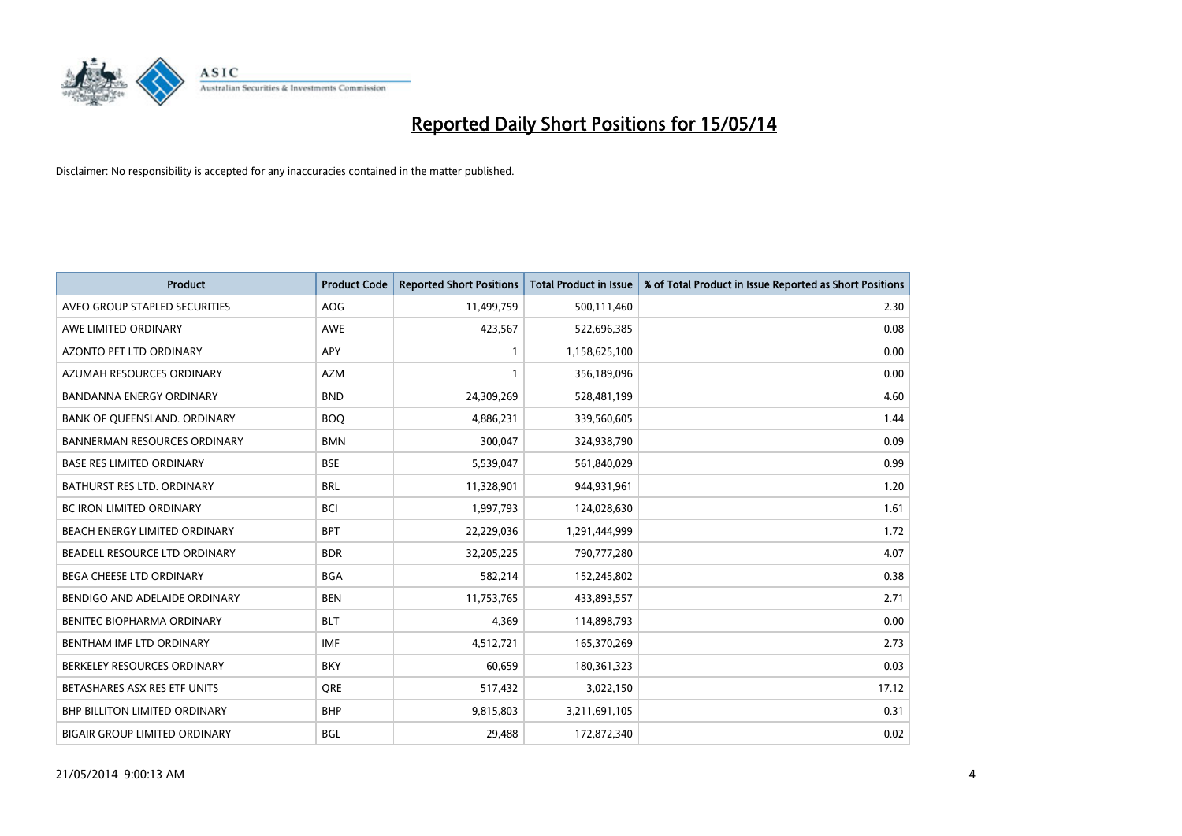

| <b>Product</b>                       | <b>Product Code</b> | <b>Reported Short Positions</b> | <b>Total Product in Issue</b> | % of Total Product in Issue Reported as Short Positions |
|--------------------------------------|---------------------|---------------------------------|-------------------------------|---------------------------------------------------------|
| AVEO GROUP STAPLED SECURITIES        | <b>AOG</b>          | 11,499,759                      | 500,111,460                   | 2.30                                                    |
| AWE LIMITED ORDINARY                 | AWE                 | 423,567                         | 522,696,385                   | 0.08                                                    |
| <b>AZONTO PET LTD ORDINARY</b>       | APY                 | 1                               | 1,158,625,100                 | 0.00                                                    |
| AZUMAH RESOURCES ORDINARY            | <b>AZM</b>          | $\mathbf{1}$                    | 356,189,096                   | 0.00                                                    |
| <b>BANDANNA ENERGY ORDINARY</b>      | <b>BND</b>          | 24,309,269                      | 528,481,199                   | 4.60                                                    |
| BANK OF QUEENSLAND. ORDINARY         | <b>BOO</b>          | 4,886,231                       | 339,560,605                   | 1.44                                                    |
| <b>BANNERMAN RESOURCES ORDINARY</b>  | <b>BMN</b>          | 300,047                         | 324,938,790                   | 0.09                                                    |
| <b>BASE RES LIMITED ORDINARY</b>     | <b>BSE</b>          | 5,539,047                       | 561,840,029                   | 0.99                                                    |
| <b>BATHURST RES LTD. ORDINARY</b>    | <b>BRL</b>          | 11,328,901                      | 944,931,961                   | 1.20                                                    |
| <b>BC IRON LIMITED ORDINARY</b>      | <b>BCI</b>          | 1,997,793                       | 124,028,630                   | 1.61                                                    |
| BEACH ENERGY LIMITED ORDINARY        | <b>BPT</b>          | 22,229,036                      | 1,291,444,999                 | 1.72                                                    |
| BEADELL RESOURCE LTD ORDINARY        | <b>BDR</b>          | 32,205,225                      | 790,777,280                   | 4.07                                                    |
| BEGA CHEESE LTD ORDINARY             | <b>BGA</b>          | 582,214                         | 152,245,802                   | 0.38                                                    |
| BENDIGO AND ADELAIDE ORDINARY        | <b>BEN</b>          | 11,753,765                      | 433,893,557                   | 2.71                                                    |
| BENITEC BIOPHARMA ORDINARY           | <b>BLT</b>          | 4.369                           | 114,898,793                   | 0.00                                                    |
| BENTHAM IMF LTD ORDINARY             | <b>IMF</b>          | 4,512,721                       | 165,370,269                   | 2.73                                                    |
| BERKELEY RESOURCES ORDINARY          | <b>BKY</b>          | 60,659                          | 180,361,323                   | 0.03                                                    |
| BETASHARES ASX RES ETF UNITS         | <b>ORE</b>          | 517,432                         | 3,022,150                     | 17.12                                                   |
| <b>BHP BILLITON LIMITED ORDINARY</b> | <b>BHP</b>          | 9,815,803                       | 3,211,691,105                 | 0.31                                                    |
| <b>BIGAIR GROUP LIMITED ORDINARY</b> | <b>BGL</b>          | 29,488                          | 172,872,340                   | 0.02                                                    |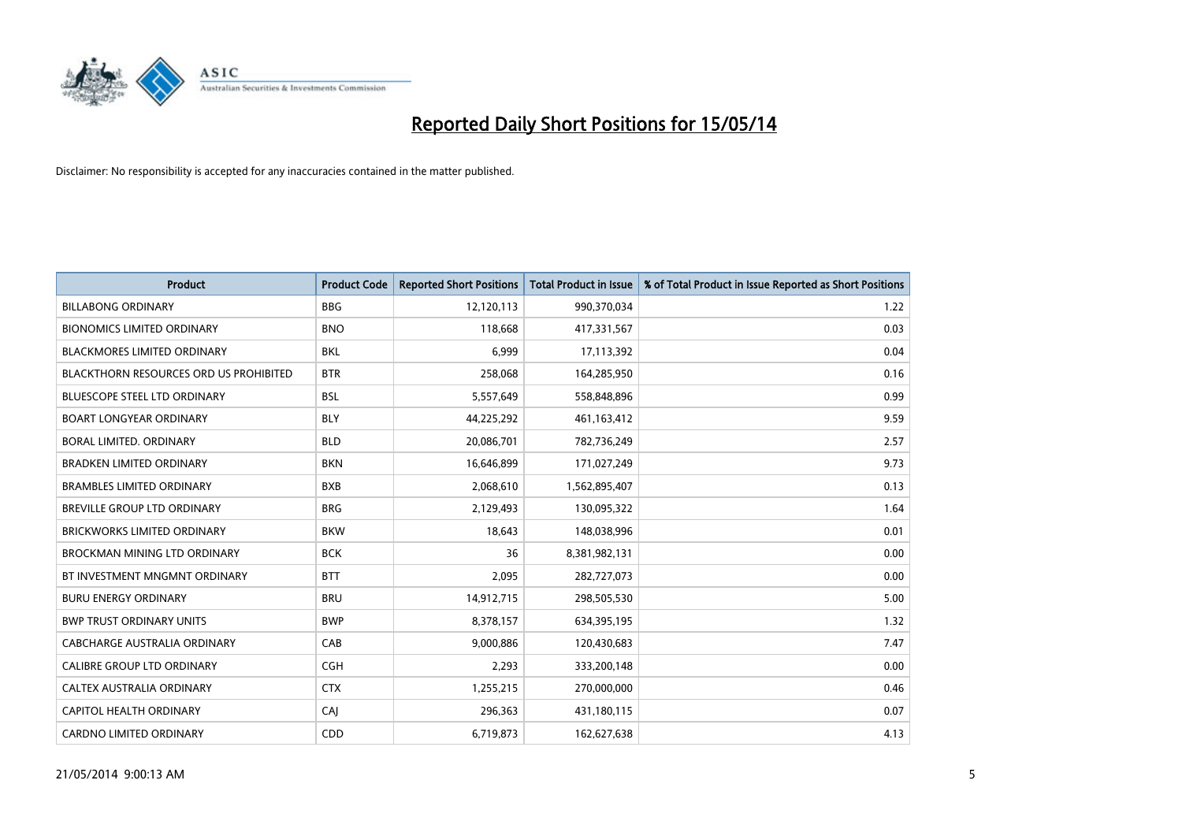

| <b>Product</b>                         | <b>Product Code</b> | <b>Reported Short Positions</b> | <b>Total Product in Issue</b> | % of Total Product in Issue Reported as Short Positions |
|----------------------------------------|---------------------|---------------------------------|-------------------------------|---------------------------------------------------------|
| <b>BILLABONG ORDINARY</b>              | <b>BBG</b>          | 12,120,113                      | 990,370,034                   | 1.22                                                    |
| <b>BIONOMICS LIMITED ORDINARY</b>      | <b>BNO</b>          | 118,668                         | 417,331,567                   | 0.03                                                    |
| <b>BLACKMORES LIMITED ORDINARY</b>     | <b>BKL</b>          | 6,999                           | 17,113,392                    | 0.04                                                    |
| BLACKTHORN RESOURCES ORD US PROHIBITED | <b>BTR</b>          | 258,068                         | 164,285,950                   | 0.16                                                    |
| <b>BLUESCOPE STEEL LTD ORDINARY</b>    | <b>BSL</b>          | 5,557,649                       | 558,848,896                   | 0.99                                                    |
| <b>BOART LONGYEAR ORDINARY</b>         | <b>BLY</b>          | 44,225,292                      | 461,163,412                   | 9.59                                                    |
| BORAL LIMITED, ORDINARY                | <b>BLD</b>          | 20,086,701                      | 782,736,249                   | 2.57                                                    |
| <b>BRADKEN LIMITED ORDINARY</b>        | <b>BKN</b>          | 16,646,899                      | 171,027,249                   | 9.73                                                    |
| BRAMBLES LIMITED ORDINARY              | <b>BXB</b>          | 2,068,610                       | 1,562,895,407                 | 0.13                                                    |
| BREVILLE GROUP LTD ORDINARY            | <b>BRG</b>          | 2,129,493                       | 130,095,322                   | 1.64                                                    |
| <b>BRICKWORKS LIMITED ORDINARY</b>     | <b>BKW</b>          | 18,643                          | 148,038,996                   | 0.01                                                    |
| <b>BROCKMAN MINING LTD ORDINARY</b>    | <b>BCK</b>          | 36                              | 8,381,982,131                 | 0.00                                                    |
| BT INVESTMENT MNGMNT ORDINARY          | <b>BTT</b>          | 2,095                           | 282,727,073                   | 0.00                                                    |
| <b>BURU ENERGY ORDINARY</b>            | <b>BRU</b>          | 14,912,715                      | 298,505,530                   | 5.00                                                    |
| <b>BWP TRUST ORDINARY UNITS</b>        | <b>BWP</b>          | 8,378,157                       | 634,395,195                   | 1.32                                                    |
| CABCHARGE AUSTRALIA ORDINARY           | CAB                 | 9,000,886                       | 120,430,683                   | 7.47                                                    |
| <b>CALIBRE GROUP LTD ORDINARY</b>      | <b>CGH</b>          | 2,293                           | 333,200,148                   | 0.00                                                    |
| CALTEX AUSTRALIA ORDINARY              | <b>CTX</b>          | 1,255,215                       | 270,000,000                   | 0.46                                                    |
| CAPITOL HEALTH ORDINARY                | CAJ                 | 296,363                         | 431,180,115                   | 0.07                                                    |
| <b>CARDNO LIMITED ORDINARY</b>         | CDD                 | 6,719,873                       | 162,627,638                   | 4.13                                                    |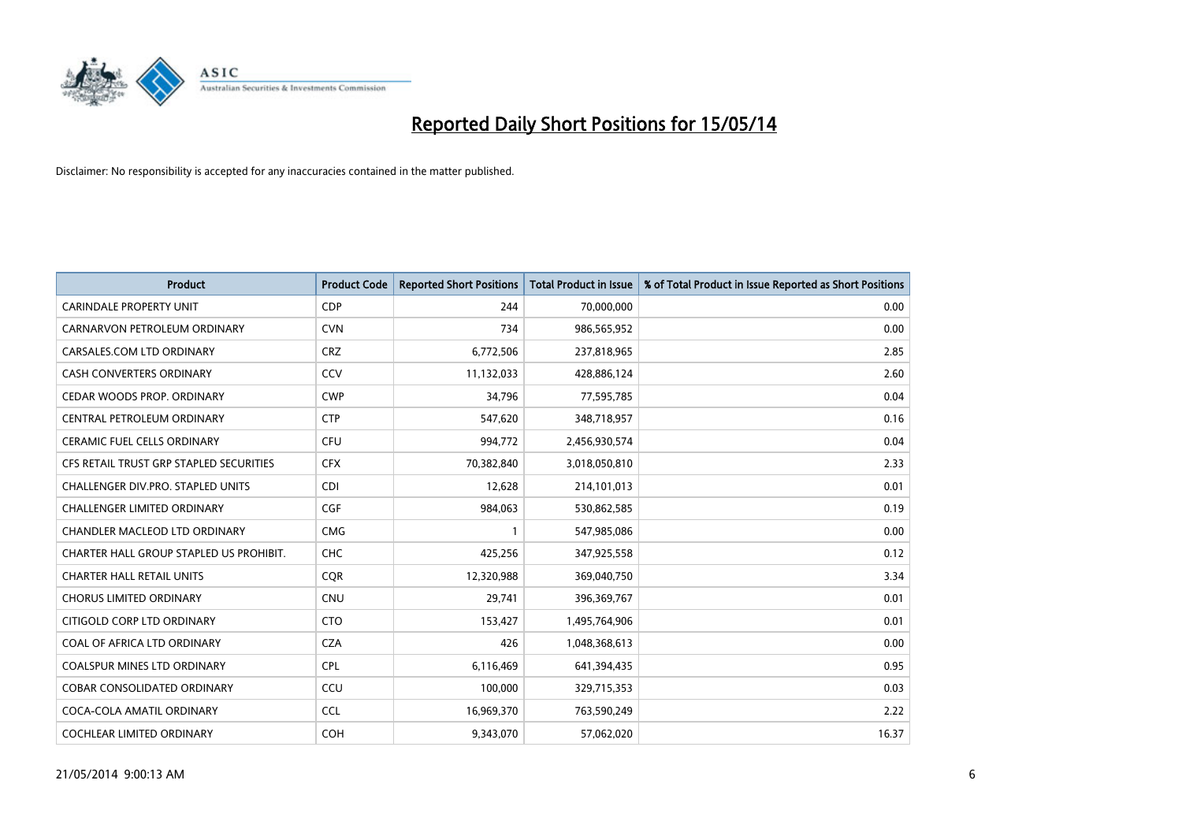

| <b>Product</b>                          | <b>Product Code</b> | <b>Reported Short Positions</b> | <b>Total Product in Issue</b> | % of Total Product in Issue Reported as Short Positions |
|-----------------------------------------|---------------------|---------------------------------|-------------------------------|---------------------------------------------------------|
| CARINDALE PROPERTY UNIT                 | <b>CDP</b>          | 244                             | 70,000,000                    | 0.00                                                    |
| CARNARVON PETROLEUM ORDINARY            | <b>CVN</b>          | 734                             | 986,565,952                   | 0.00                                                    |
| CARSALES.COM LTD ORDINARY               | <b>CRZ</b>          | 6,772,506                       | 237,818,965                   | 2.85                                                    |
| CASH CONVERTERS ORDINARY                | CCV                 | 11,132,033                      | 428,886,124                   | 2.60                                                    |
| CEDAR WOODS PROP. ORDINARY              | <b>CWP</b>          | 34,796                          | 77,595,785                    | 0.04                                                    |
| CENTRAL PETROLEUM ORDINARY              | <b>CTP</b>          | 547,620                         | 348,718,957                   | 0.16                                                    |
| CERAMIC FUEL CELLS ORDINARY             | <b>CFU</b>          | 994,772                         | 2,456,930,574                 | 0.04                                                    |
| CFS RETAIL TRUST GRP STAPLED SECURITIES | <b>CFX</b>          | 70,382,840                      | 3,018,050,810                 | 2.33                                                    |
| CHALLENGER DIV.PRO. STAPLED UNITS       | <b>CDI</b>          | 12,628                          | 214,101,013                   | 0.01                                                    |
| <b>CHALLENGER LIMITED ORDINARY</b>      | <b>CGF</b>          | 984,063                         | 530,862,585                   | 0.19                                                    |
| CHANDLER MACLEOD LTD ORDINARY           | <b>CMG</b>          |                                 | 547,985,086                   | 0.00                                                    |
| CHARTER HALL GROUP STAPLED US PROHIBIT. | <b>CHC</b>          | 425,256                         | 347,925,558                   | 0.12                                                    |
| <b>CHARTER HALL RETAIL UNITS</b>        | <b>COR</b>          | 12,320,988                      | 369,040,750                   | 3.34                                                    |
| <b>CHORUS LIMITED ORDINARY</b>          | CNU                 | 29,741                          | 396,369,767                   | 0.01                                                    |
| CITIGOLD CORP LTD ORDINARY              | <b>CTO</b>          | 153,427                         | 1,495,764,906                 | 0.01                                                    |
| COAL OF AFRICA LTD ORDINARY             | <b>CZA</b>          | 426                             | 1,048,368,613                 | 0.00                                                    |
| COALSPUR MINES LTD ORDINARY             | <b>CPL</b>          | 6,116,469                       | 641,394,435                   | 0.95                                                    |
| COBAR CONSOLIDATED ORDINARY             | CCU                 | 100,000                         | 329,715,353                   | 0.03                                                    |
| COCA-COLA AMATIL ORDINARY               | <b>CCL</b>          | 16,969,370                      | 763,590,249                   | 2.22                                                    |
| COCHLEAR LIMITED ORDINARY               | <b>COH</b>          | 9,343,070                       | 57,062,020                    | 16.37                                                   |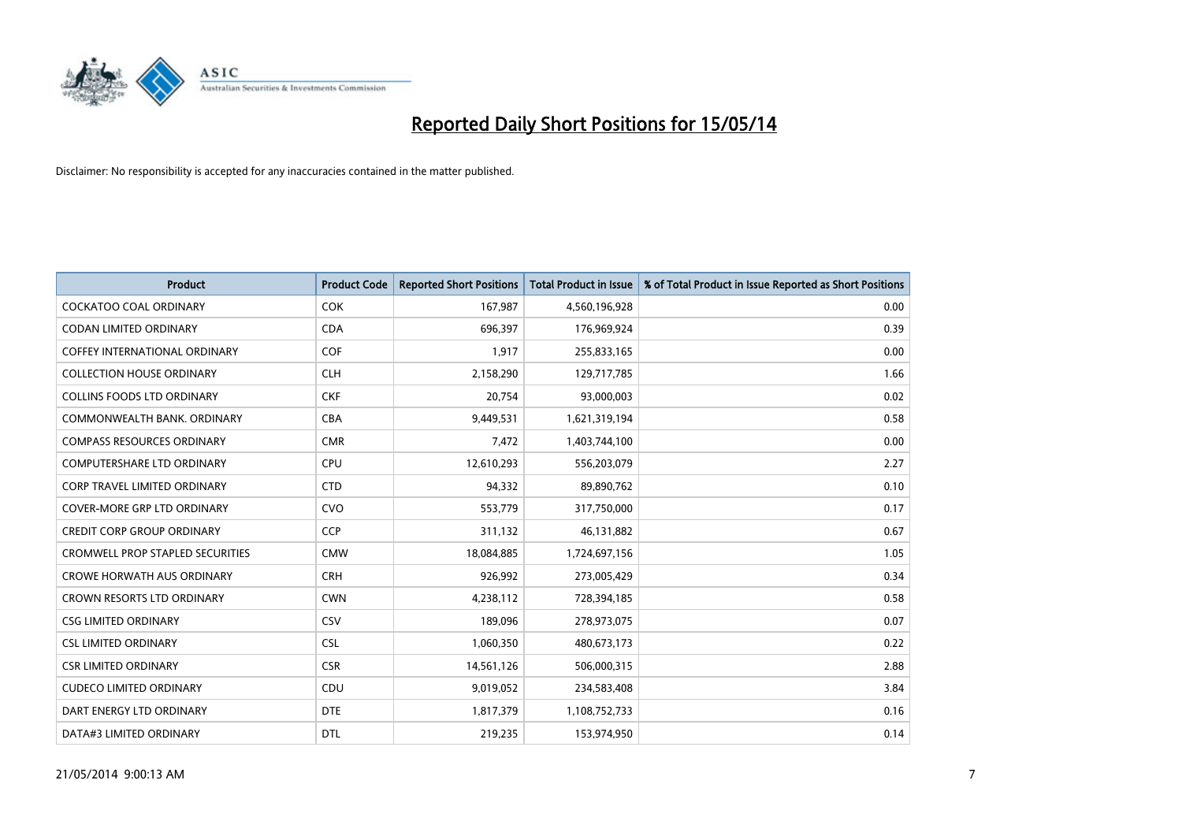

| <b>Product</b>                          | <b>Product Code</b> | <b>Reported Short Positions</b> | <b>Total Product in Issue</b> | % of Total Product in Issue Reported as Short Positions |
|-----------------------------------------|---------------------|---------------------------------|-------------------------------|---------------------------------------------------------|
| <b>COCKATOO COAL ORDINARY</b>           | <b>COK</b>          | 167,987                         | 4,560,196,928                 | 0.00                                                    |
| CODAN LIMITED ORDINARY                  | <b>CDA</b>          | 696,397                         | 176,969,924                   | 0.39                                                    |
| <b>COFFEY INTERNATIONAL ORDINARY</b>    | <b>COF</b>          | 1,917                           | 255,833,165                   | 0.00                                                    |
| <b>COLLECTION HOUSE ORDINARY</b>        | <b>CLH</b>          | 2,158,290                       | 129,717,785                   | 1.66                                                    |
| <b>COLLINS FOODS LTD ORDINARY</b>       | <b>CKF</b>          | 20,754                          | 93,000,003                    | 0.02                                                    |
| COMMONWEALTH BANK, ORDINARY             | <b>CBA</b>          | 9,449,531                       | 1,621,319,194                 | 0.58                                                    |
| <b>COMPASS RESOURCES ORDINARY</b>       | <b>CMR</b>          | 7,472                           | 1,403,744,100                 | 0.00                                                    |
| <b>COMPUTERSHARE LTD ORDINARY</b>       | <b>CPU</b>          | 12,610,293                      | 556,203,079                   | 2.27                                                    |
| <b>CORP TRAVEL LIMITED ORDINARY</b>     | <b>CTD</b>          | 94,332                          | 89,890,762                    | 0.10                                                    |
| COVER-MORE GRP LTD ORDINARY             | <b>CVO</b>          | 553,779                         | 317,750,000                   | 0.17                                                    |
| <b>CREDIT CORP GROUP ORDINARY</b>       | <b>CCP</b>          | 311,132                         | 46,131,882                    | 0.67                                                    |
| <b>CROMWELL PROP STAPLED SECURITIES</b> | <b>CMW</b>          | 18,084,885                      | 1,724,697,156                 | 1.05                                                    |
| <b>CROWE HORWATH AUS ORDINARY</b>       | <b>CRH</b>          | 926,992                         | 273,005,429                   | 0.34                                                    |
| <b>CROWN RESORTS LTD ORDINARY</b>       | <b>CWN</b>          | 4,238,112                       | 728,394,185                   | 0.58                                                    |
| <b>CSG LIMITED ORDINARY</b>             | CSV                 | 189,096                         | 278,973,075                   | 0.07                                                    |
| <b>CSL LIMITED ORDINARY</b>             | <b>CSL</b>          | 1,060,350                       | 480,673,173                   | 0.22                                                    |
| <b>CSR LIMITED ORDINARY</b>             | <b>CSR</b>          | 14,561,126                      | 506,000,315                   | 2.88                                                    |
| <b>CUDECO LIMITED ORDINARY</b>          | CDU                 | 9,019,052                       | 234,583,408                   | 3.84                                                    |
| DART ENERGY LTD ORDINARY                | <b>DTE</b>          | 1,817,379                       | 1,108,752,733                 | 0.16                                                    |
| DATA#3 LIMITED ORDINARY                 | <b>DTL</b>          | 219,235                         | 153,974,950                   | 0.14                                                    |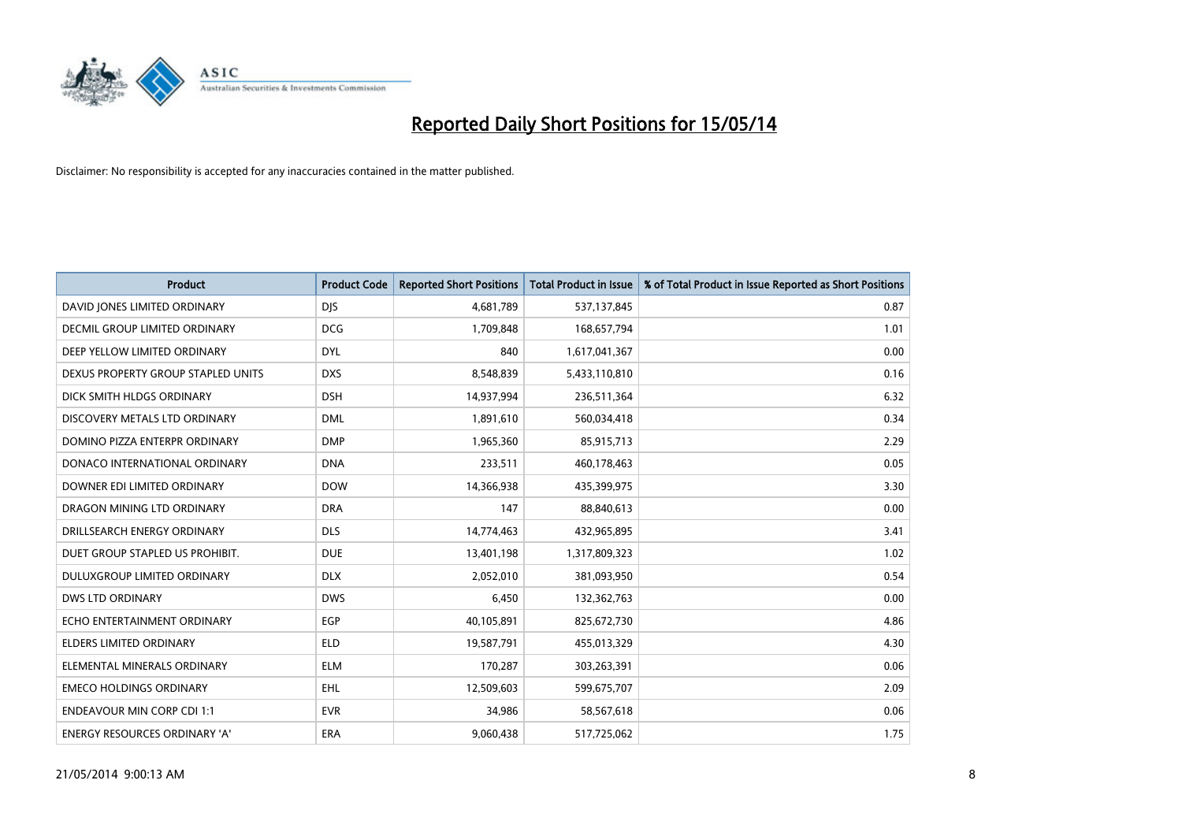

| <b>Product</b>                       | <b>Product Code</b> | <b>Reported Short Positions</b> | <b>Total Product in Issue</b> | % of Total Product in Issue Reported as Short Positions |
|--------------------------------------|---------------------|---------------------------------|-------------------------------|---------------------------------------------------------|
| DAVID JONES LIMITED ORDINARY         | <b>DJS</b>          | 4,681,789                       | 537,137,845                   | 0.87                                                    |
| DECMIL GROUP LIMITED ORDINARY        | <b>DCG</b>          | 1,709,848                       | 168,657,794                   | 1.01                                                    |
| DEEP YELLOW LIMITED ORDINARY         | <b>DYL</b>          | 840                             | 1,617,041,367                 | 0.00                                                    |
| DEXUS PROPERTY GROUP STAPLED UNITS   | <b>DXS</b>          | 8,548,839                       | 5,433,110,810                 | 0.16                                                    |
| DICK SMITH HLDGS ORDINARY            | <b>DSH</b>          | 14,937,994                      | 236,511,364                   | 6.32                                                    |
| DISCOVERY METALS LTD ORDINARY        | <b>DML</b>          | 1,891,610                       | 560,034,418                   | 0.34                                                    |
| DOMINO PIZZA ENTERPR ORDINARY        | <b>DMP</b>          | 1,965,360                       | 85,915,713                    | 2.29                                                    |
| DONACO INTERNATIONAL ORDINARY        | <b>DNA</b>          | 233,511                         | 460,178,463                   | 0.05                                                    |
| DOWNER EDI LIMITED ORDINARY          | <b>DOW</b>          | 14,366,938                      | 435,399,975                   | 3.30                                                    |
| DRAGON MINING LTD ORDINARY           | <b>DRA</b>          | 147                             | 88,840,613                    | 0.00                                                    |
| DRILLSEARCH ENERGY ORDINARY          | <b>DLS</b>          | 14,774,463                      | 432,965,895                   | 3.41                                                    |
| DUET GROUP STAPLED US PROHIBIT.      | <b>DUE</b>          | 13,401,198                      | 1,317,809,323                 | 1.02                                                    |
| DULUXGROUP LIMITED ORDINARY          | <b>DLX</b>          | 2,052,010                       | 381,093,950                   | 0.54                                                    |
| DWS LTD ORDINARY                     | <b>DWS</b>          | 6,450                           | 132,362,763                   | 0.00                                                    |
| ECHO ENTERTAINMENT ORDINARY          | EGP                 | 40,105,891                      | 825,672,730                   | 4.86                                                    |
| ELDERS LIMITED ORDINARY              | <b>ELD</b>          | 19,587,791                      | 455,013,329                   | 4.30                                                    |
| ELEMENTAL MINERALS ORDINARY          | <b>ELM</b>          | 170,287                         | 303,263,391                   | 0.06                                                    |
| <b>EMECO HOLDINGS ORDINARY</b>       | <b>EHL</b>          | 12,509,603                      | 599,675,707                   | 2.09                                                    |
| <b>ENDEAVOUR MIN CORP CDI 1:1</b>    | <b>EVR</b>          | 34,986                          | 58,567,618                    | 0.06                                                    |
| <b>ENERGY RESOURCES ORDINARY 'A'</b> | ERA                 | 9,060,438                       | 517,725,062                   | 1.75                                                    |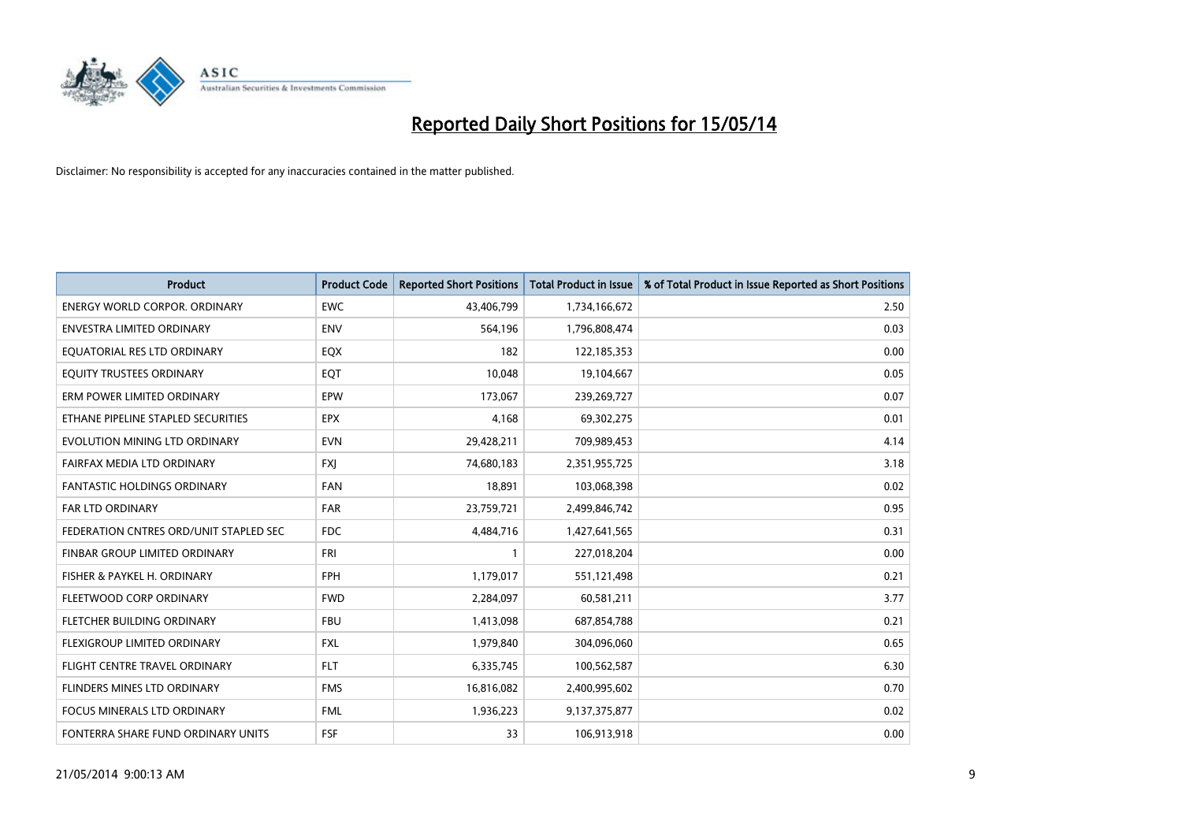

| <b>Product</b>                         | <b>Product Code</b> | <b>Reported Short Positions</b> | <b>Total Product in Issue</b> | % of Total Product in Issue Reported as Short Positions |
|----------------------------------------|---------------------|---------------------------------|-------------------------------|---------------------------------------------------------|
| <b>ENERGY WORLD CORPOR, ORDINARY</b>   | <b>EWC</b>          | 43,406,799                      | 1,734,166,672                 | 2.50                                                    |
| ENVESTRA LIMITED ORDINARY              | ENV                 | 564,196                         | 1,796,808,474                 | 0.03                                                    |
| EQUATORIAL RES LTD ORDINARY            | EQX                 | 182                             | 122,185,353                   | 0.00                                                    |
| EQUITY TRUSTEES ORDINARY               | EQT                 | 10,048                          | 19,104,667                    | 0.05                                                    |
| ERM POWER LIMITED ORDINARY             | EPW                 | 173,067                         | 239,269,727                   | 0.07                                                    |
| ETHANE PIPELINE STAPLED SECURITIES     | <b>EPX</b>          | 4,168                           | 69,302,275                    | 0.01                                                    |
| EVOLUTION MINING LTD ORDINARY          | <b>EVN</b>          | 29,428,211                      | 709,989,453                   | 4.14                                                    |
| FAIRFAX MEDIA LTD ORDINARY             | <b>FXJ</b>          | 74,680,183                      | 2,351,955,725                 | 3.18                                                    |
| FANTASTIC HOLDINGS ORDINARY            | <b>FAN</b>          | 18,891                          | 103,068,398                   | 0.02                                                    |
| <b>FAR LTD ORDINARY</b>                | <b>FAR</b>          | 23,759,721                      | 2,499,846,742                 | 0.95                                                    |
| FEDERATION CNTRES ORD/UNIT STAPLED SEC | FDC                 | 4,484,716                       | 1,427,641,565                 | 0.31                                                    |
| <b>FINBAR GROUP LIMITED ORDINARY</b>   | <b>FRI</b>          | $\mathbf{1}$                    | 227,018,204                   | 0.00                                                    |
| FISHER & PAYKEL H. ORDINARY            | <b>FPH</b>          | 1,179,017                       | 551,121,498                   | 0.21                                                    |
| FLEETWOOD CORP ORDINARY                | <b>FWD</b>          | 2,284,097                       | 60,581,211                    | 3.77                                                    |
| FLETCHER BUILDING ORDINARY             | <b>FBU</b>          | 1,413,098                       | 687,854,788                   | 0.21                                                    |
| FLEXIGROUP LIMITED ORDINARY            | <b>FXL</b>          | 1,979,840                       | 304,096,060                   | 0.65                                                    |
| FLIGHT CENTRE TRAVEL ORDINARY          | <b>FLT</b>          | 6,335,745                       | 100,562,587                   | 6.30                                                    |
| FLINDERS MINES LTD ORDINARY            | <b>FMS</b>          | 16,816,082                      | 2,400,995,602                 | 0.70                                                    |
| <b>FOCUS MINERALS LTD ORDINARY</b>     | <b>FML</b>          | 1,936,223                       | 9,137,375,877                 | 0.02                                                    |
| FONTERRA SHARE FUND ORDINARY UNITS     | <b>FSF</b>          | 33                              | 106,913,918                   | 0.00                                                    |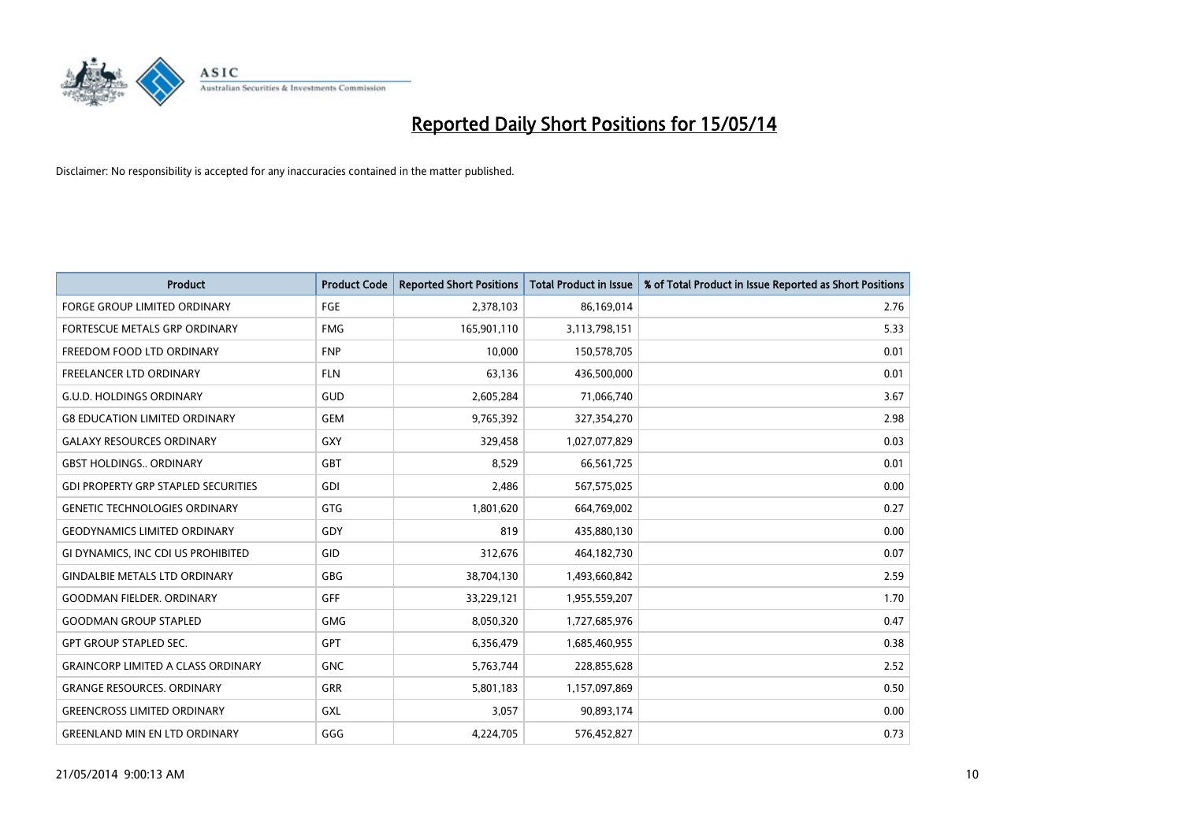

| <b>Product</b>                             | <b>Product Code</b> | <b>Reported Short Positions</b> | <b>Total Product in Issue</b> | % of Total Product in Issue Reported as Short Positions |
|--------------------------------------------|---------------------|---------------------------------|-------------------------------|---------------------------------------------------------|
| <b>FORGE GROUP LIMITED ORDINARY</b>        | FGE                 | 2,378,103                       | 86,169,014                    | 2.76                                                    |
| <b>FORTESCUE METALS GRP ORDINARY</b>       | <b>FMG</b>          | 165,901,110                     | 3,113,798,151                 | 5.33                                                    |
| FREEDOM FOOD LTD ORDINARY                  | <b>FNP</b>          | 10,000                          | 150,578,705                   | 0.01                                                    |
| FREELANCER LTD ORDINARY                    | <b>FLN</b>          | 63,136                          | 436,500,000                   | 0.01                                                    |
| <b>G.U.D. HOLDINGS ORDINARY</b>            | GUD                 | 2,605,284                       | 71,066,740                    | 3.67                                                    |
| <b>G8 EDUCATION LIMITED ORDINARY</b>       | <b>GEM</b>          | 9,765,392                       | 327,354,270                   | 2.98                                                    |
| <b>GALAXY RESOURCES ORDINARY</b>           | GXY                 | 329,458                         | 1,027,077,829                 | 0.03                                                    |
| <b>GBST HOLDINGS., ORDINARY</b>            | GBT                 | 8,529                           | 66,561,725                    | 0.01                                                    |
| <b>GDI PROPERTY GRP STAPLED SECURITIES</b> | <b>GDI</b>          | 2,486                           | 567,575,025                   | 0.00                                                    |
| <b>GENETIC TECHNOLOGIES ORDINARY</b>       | GTG                 | 1,801,620                       | 664,769,002                   | 0.27                                                    |
| <b>GEODYNAMICS LIMITED ORDINARY</b>        | GDY                 | 819                             | 435,880,130                   | 0.00                                                    |
| GI DYNAMICS, INC CDI US PROHIBITED         | GID                 | 312,676                         | 464,182,730                   | 0.07                                                    |
| <b>GINDALBIE METALS LTD ORDINARY</b>       | GBG                 | 38,704,130                      | 1,493,660,842                 | 2.59                                                    |
| <b>GOODMAN FIELDER, ORDINARY</b>           | <b>GFF</b>          | 33,229,121                      | 1,955,559,207                 | 1.70                                                    |
| <b>GOODMAN GROUP STAPLED</b>               | <b>GMG</b>          | 8,050,320                       | 1,727,685,976                 | 0.47                                                    |
| <b>GPT GROUP STAPLED SEC.</b>              | <b>GPT</b>          | 6,356,479                       | 1,685,460,955                 | 0.38                                                    |
| <b>GRAINCORP LIMITED A CLASS ORDINARY</b>  | <b>GNC</b>          | 5,763,744                       | 228,855,628                   | 2.52                                                    |
| <b>GRANGE RESOURCES. ORDINARY</b>          | GRR                 | 5,801,183                       | 1,157,097,869                 | 0.50                                                    |
| <b>GREENCROSS LIMITED ORDINARY</b>         | <b>GXL</b>          | 3,057                           | 90,893,174                    | 0.00                                                    |
| <b>GREENLAND MIN EN LTD ORDINARY</b>       | GGG                 | 4,224,705                       | 576,452,827                   | 0.73                                                    |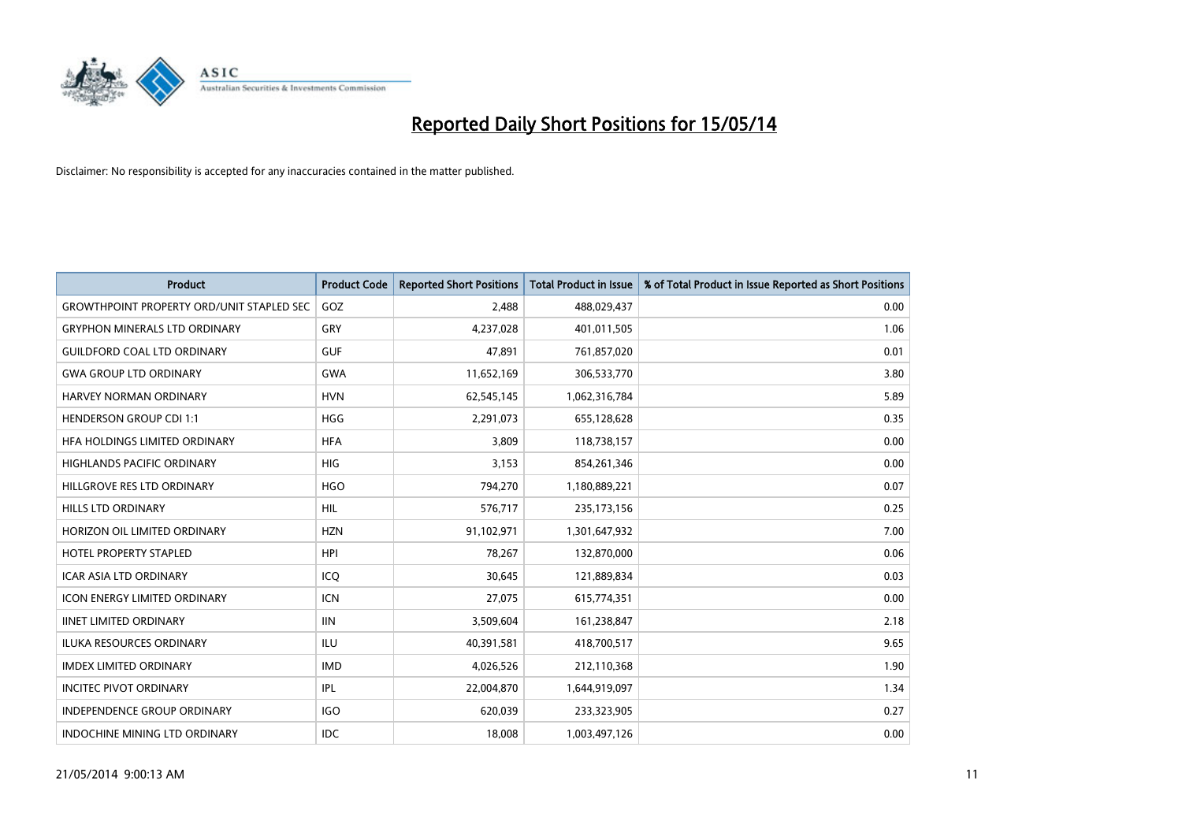

| <b>Product</b>                            | <b>Product Code</b> | <b>Reported Short Positions</b> | <b>Total Product in Issue</b> | % of Total Product in Issue Reported as Short Positions |
|-------------------------------------------|---------------------|---------------------------------|-------------------------------|---------------------------------------------------------|
| GROWTHPOINT PROPERTY ORD/UNIT STAPLED SEC | GOZ                 | 2,488                           | 488,029,437                   | 0.00                                                    |
| <b>GRYPHON MINERALS LTD ORDINARY</b>      | GRY                 | 4,237,028                       | 401,011,505                   | 1.06                                                    |
| <b>GUILDFORD COAL LTD ORDINARY</b>        | <b>GUF</b>          | 47,891                          | 761,857,020                   | 0.01                                                    |
| <b>GWA GROUP LTD ORDINARY</b>             | <b>GWA</b>          | 11,652,169                      | 306,533,770                   | 3.80                                                    |
| HARVEY NORMAN ORDINARY                    | <b>HVN</b>          | 62,545,145                      | 1,062,316,784                 | 5.89                                                    |
| <b>HENDERSON GROUP CDI 1:1</b>            | <b>HGG</b>          | 2,291,073                       | 655,128,628                   | 0.35                                                    |
| HFA HOLDINGS LIMITED ORDINARY             | <b>HFA</b>          | 3,809                           | 118,738,157                   | 0.00                                                    |
| <b>HIGHLANDS PACIFIC ORDINARY</b>         | <b>HIG</b>          | 3,153                           | 854,261,346                   | 0.00                                                    |
| HILLGROVE RES LTD ORDINARY                | <b>HGO</b>          | 794,270                         | 1,180,889,221                 | 0.07                                                    |
| <b>HILLS LTD ORDINARY</b>                 | <b>HIL</b>          | 576,717                         | 235, 173, 156                 | 0.25                                                    |
| HORIZON OIL LIMITED ORDINARY              | <b>HZN</b>          | 91,102,971                      | 1,301,647,932                 | 7.00                                                    |
| HOTEL PROPERTY STAPLED                    | <b>HPI</b>          | 78,267                          | 132,870,000                   | 0.06                                                    |
| <b>ICAR ASIA LTD ORDINARY</b>             | ICQ                 | 30,645                          | 121,889,834                   | 0.03                                                    |
| <b>ICON ENERGY LIMITED ORDINARY</b>       | <b>ICN</b>          | 27,075                          | 615,774,351                   | 0.00                                                    |
| <b>IINET LIMITED ORDINARY</b>             | <b>IIN</b>          | 3,509,604                       | 161,238,847                   | 2.18                                                    |
| ILUKA RESOURCES ORDINARY                  | ILU                 | 40,391,581                      | 418,700,517                   | 9.65                                                    |
| <b>IMDEX LIMITED ORDINARY</b>             | <b>IMD</b>          | 4,026,526                       | 212,110,368                   | 1.90                                                    |
| <b>INCITEC PIVOT ORDINARY</b>             | IPL                 | 22,004,870                      | 1,644,919,097                 | 1.34                                                    |
| <b>INDEPENDENCE GROUP ORDINARY</b>        | <b>IGO</b>          | 620,039                         | 233,323,905                   | 0.27                                                    |
| INDOCHINE MINING LTD ORDINARY             | <b>IDC</b>          | 18,008                          | 1,003,497,126                 | 0.00                                                    |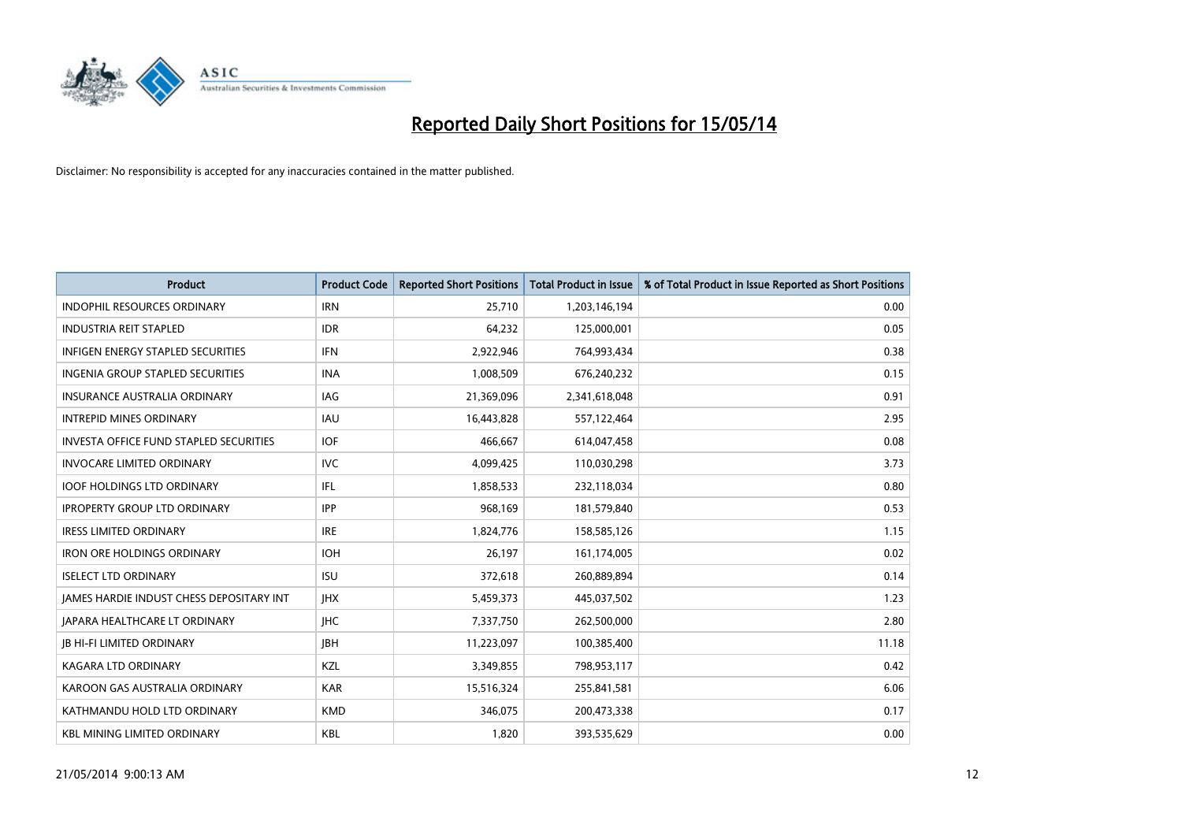

| <b>Product</b>                                  | <b>Product Code</b> | <b>Reported Short Positions</b> | <b>Total Product in Issue</b> | % of Total Product in Issue Reported as Short Positions |
|-------------------------------------------------|---------------------|---------------------------------|-------------------------------|---------------------------------------------------------|
| <b>INDOPHIL RESOURCES ORDINARY</b>              | <b>IRN</b>          | 25,710                          | 1,203,146,194                 | 0.00                                                    |
| <b>INDUSTRIA REIT STAPLED</b>                   | <b>IDR</b>          | 64,232                          | 125,000,001                   | 0.05                                                    |
| <b>INFIGEN ENERGY STAPLED SECURITIES</b>        | <b>IFN</b>          | 2,922,946                       | 764,993,434                   | 0.38                                                    |
| INGENIA GROUP STAPLED SECURITIES                | <b>INA</b>          | 1,008,509                       | 676,240,232                   | 0.15                                                    |
| <b>INSURANCE AUSTRALIA ORDINARY</b>             | IAG                 | 21,369,096                      | 2,341,618,048                 | 0.91                                                    |
| <b>INTREPID MINES ORDINARY</b>                  | <b>IAU</b>          | 16,443,828                      | 557,122,464                   | 2.95                                                    |
| <b>INVESTA OFFICE FUND STAPLED SECURITIES</b>   | <b>IOF</b>          | 466,667                         | 614,047,458                   | 0.08                                                    |
| <b>INVOCARE LIMITED ORDINARY</b>                | <b>IVC</b>          | 4,099,425                       | 110,030,298                   | 3.73                                                    |
| <b>IOOF HOLDINGS LTD ORDINARY</b>               | IFL                 | 1,858,533                       | 232,118,034                   | 0.80                                                    |
| <b>IPROPERTY GROUP LTD ORDINARY</b>             | <b>IPP</b>          | 968,169                         | 181,579,840                   | 0.53                                                    |
| <b>IRESS LIMITED ORDINARY</b>                   | <b>IRE</b>          | 1,824,776                       | 158,585,126                   | 1.15                                                    |
| <b>IRON ORE HOLDINGS ORDINARY</b>               | <b>IOH</b>          | 26,197                          | 161,174,005                   | 0.02                                                    |
| <b>ISELECT LTD ORDINARY</b>                     | <b>ISU</b>          | 372,618                         | 260,889,894                   | 0.14                                                    |
| <b>JAMES HARDIE INDUST CHESS DEPOSITARY INT</b> | <b>IHX</b>          | 5,459,373                       | 445,037,502                   | 1.23                                                    |
| <b>JAPARA HEALTHCARE LT ORDINARY</b>            | <b>IHC</b>          | 7,337,750                       | 262,500,000                   | 2.80                                                    |
| <b>JB HI-FI LIMITED ORDINARY</b>                | <b>JBH</b>          | 11,223,097                      | 100,385,400                   | 11.18                                                   |
| KAGARA LTD ORDINARY                             | KZL                 | 3,349,855                       | 798,953,117                   | 0.42                                                    |
| KAROON GAS AUSTRALIA ORDINARY                   | <b>KAR</b>          | 15,516,324                      | 255,841,581                   | 6.06                                                    |
| KATHMANDU HOLD LTD ORDINARY                     | <b>KMD</b>          | 346,075                         | 200,473,338                   | 0.17                                                    |
| <b>KBL MINING LIMITED ORDINARY</b>              | <b>KBL</b>          | 1,820                           | 393,535,629                   | 0.00                                                    |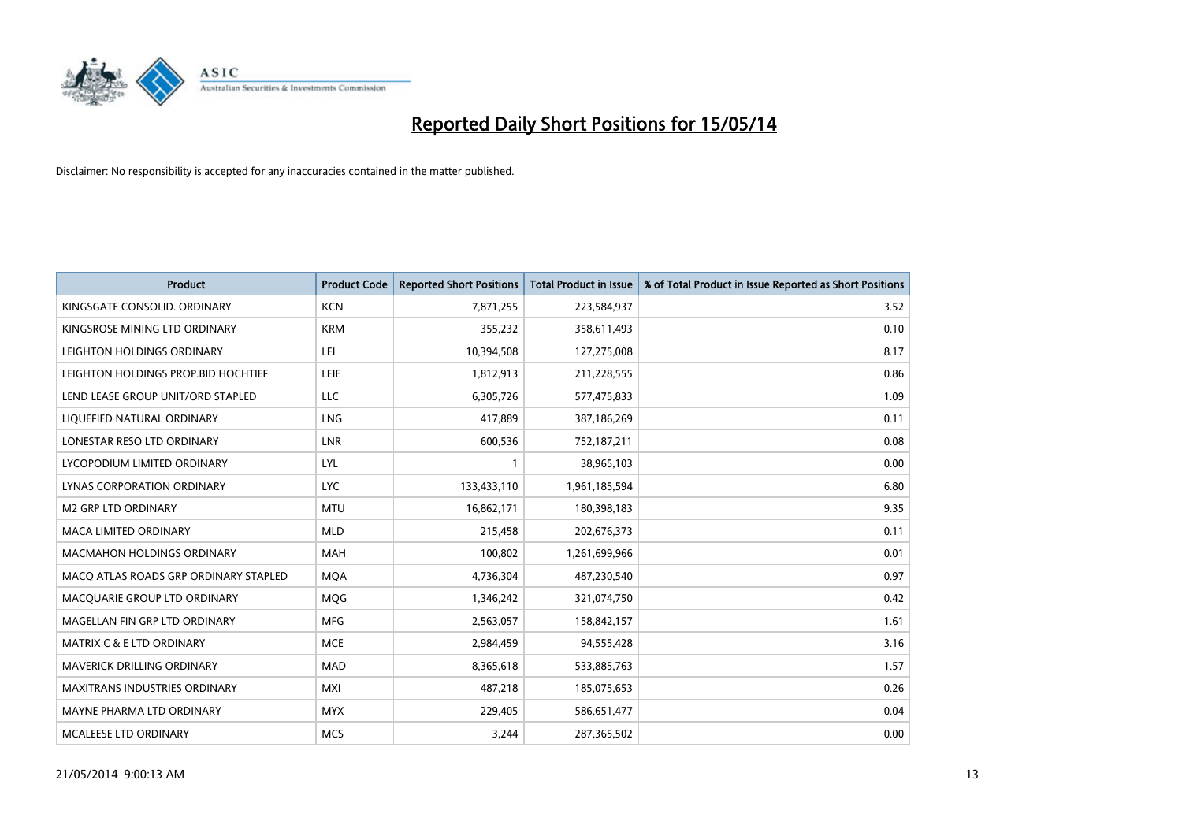

| <b>Product</b>                        | <b>Product Code</b> | <b>Reported Short Positions</b> | <b>Total Product in Issue</b> | % of Total Product in Issue Reported as Short Positions |
|---------------------------------------|---------------------|---------------------------------|-------------------------------|---------------------------------------------------------|
| KINGSGATE CONSOLID, ORDINARY          | <b>KCN</b>          | 7,871,255                       | 223,584,937                   | 3.52                                                    |
| KINGSROSE MINING LTD ORDINARY         | <b>KRM</b>          | 355,232                         | 358,611,493                   | 0.10                                                    |
| LEIGHTON HOLDINGS ORDINARY            | LEI                 | 10,394,508                      | 127,275,008                   | 8.17                                                    |
| LEIGHTON HOLDINGS PROP.BID HOCHTIEF   | <b>LEIE</b>         | 1,812,913                       | 211,228,555                   | 0.86                                                    |
| LEND LEASE GROUP UNIT/ORD STAPLED     | LLC                 | 6,305,726                       | 577,475,833                   | 1.09                                                    |
| LIQUEFIED NATURAL ORDINARY            | LNG                 | 417,889                         | 387,186,269                   | 0.11                                                    |
| LONESTAR RESO LTD ORDINARY            | <b>LNR</b>          | 600,536                         | 752,187,211                   | 0.08                                                    |
| LYCOPODIUM LIMITED ORDINARY           | <b>LYL</b>          | $\mathbf{1}$                    | 38,965,103                    | 0.00                                                    |
| LYNAS CORPORATION ORDINARY            | <b>LYC</b>          | 133,433,110                     | 1,961,185,594                 | 6.80                                                    |
| <b>M2 GRP LTD ORDINARY</b>            | <b>MTU</b>          | 16,862,171                      | 180,398,183                   | 9.35                                                    |
| MACA LIMITED ORDINARY                 | <b>MLD</b>          | 215,458                         | 202,676,373                   | 0.11                                                    |
| <b>MACMAHON HOLDINGS ORDINARY</b>     | <b>MAH</b>          | 100,802                         | 1,261,699,966                 | 0.01                                                    |
| MACO ATLAS ROADS GRP ORDINARY STAPLED | <b>MOA</b>          | 4,736,304                       | 487,230,540                   | 0.97                                                    |
| MACQUARIE GROUP LTD ORDINARY          | <b>MOG</b>          | 1,346,242                       | 321,074,750                   | 0.42                                                    |
| MAGELLAN FIN GRP LTD ORDINARY         | <b>MFG</b>          | 2,563,057                       | 158,842,157                   | 1.61                                                    |
| <b>MATRIX C &amp; E LTD ORDINARY</b>  | <b>MCE</b>          | 2,984,459                       | 94,555,428                    | 3.16                                                    |
| MAVERICK DRILLING ORDINARY            | <b>MAD</b>          | 8,365,618                       | 533,885,763                   | 1.57                                                    |
| <b>MAXITRANS INDUSTRIES ORDINARY</b>  | <b>MXI</b>          | 487,218                         | 185,075,653                   | 0.26                                                    |
| MAYNE PHARMA LTD ORDINARY             | <b>MYX</b>          | 229,405                         | 586,651,477                   | 0.04                                                    |
| MCALEESE LTD ORDINARY                 | <b>MCS</b>          | 3,244                           | 287,365,502                   | 0.00                                                    |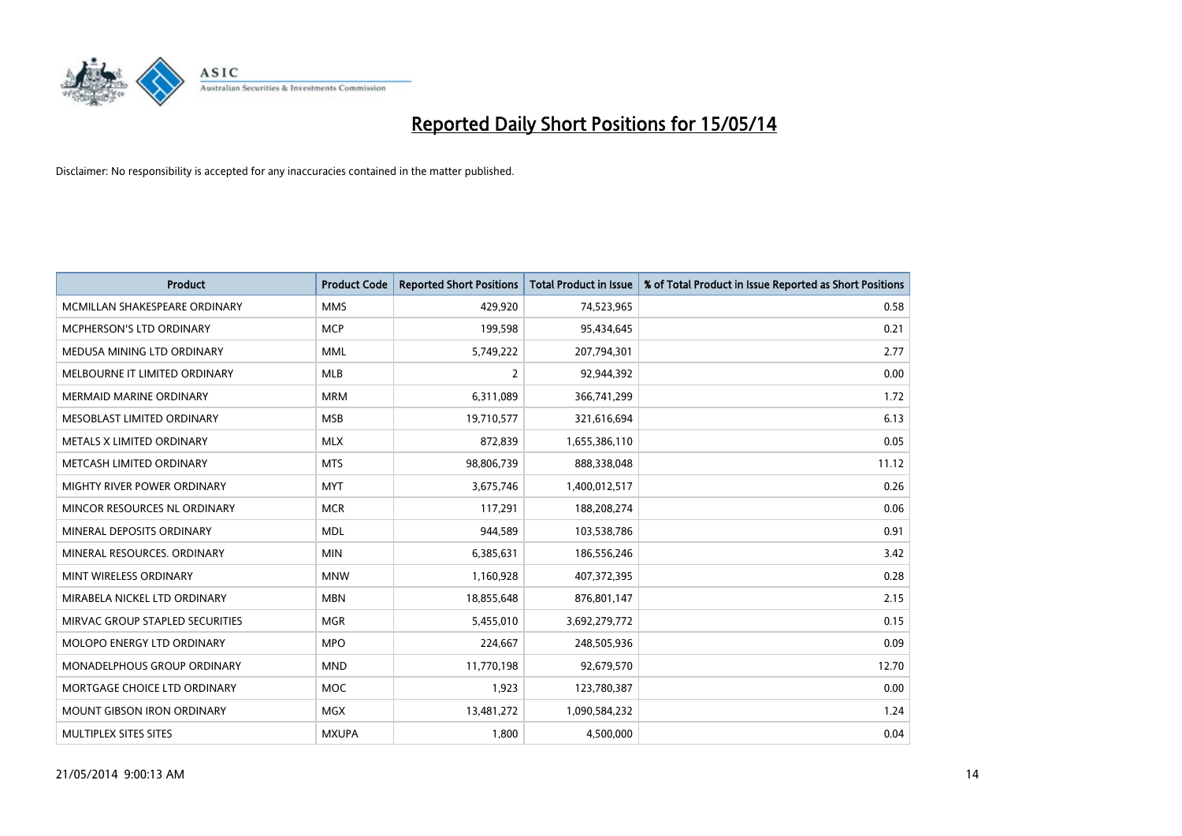

| Product                           | <b>Product Code</b> | <b>Reported Short Positions</b> | <b>Total Product in Issue</b> | % of Total Product in Issue Reported as Short Positions |
|-----------------------------------|---------------------|---------------------------------|-------------------------------|---------------------------------------------------------|
| MCMILLAN SHAKESPEARE ORDINARY     | <b>MMS</b>          | 429,920                         | 74,523,965                    | 0.58                                                    |
| MCPHERSON'S LTD ORDINARY          | <b>MCP</b>          | 199,598                         | 95,434,645                    | 0.21                                                    |
| MEDUSA MINING LTD ORDINARY        | <b>MML</b>          | 5,749,222                       | 207,794,301                   | 2.77                                                    |
| MELBOURNE IT LIMITED ORDINARY     | <b>MLB</b>          | $\overline{2}$                  | 92,944,392                    | 0.00                                                    |
| <b>MERMAID MARINE ORDINARY</b>    | <b>MRM</b>          | 6,311,089                       | 366,741,299                   | 1.72                                                    |
| MESOBLAST LIMITED ORDINARY        | <b>MSB</b>          | 19,710,577                      | 321,616,694                   | 6.13                                                    |
| METALS X LIMITED ORDINARY         | <b>MLX</b>          | 872,839                         | 1,655,386,110                 | 0.05                                                    |
| METCASH LIMITED ORDINARY          | <b>MTS</b>          | 98,806,739                      | 888,338,048                   | 11.12                                                   |
| MIGHTY RIVER POWER ORDINARY       | <b>MYT</b>          | 3,675,746                       | 1,400,012,517                 | 0.26                                                    |
| MINCOR RESOURCES NL ORDINARY      | <b>MCR</b>          | 117,291                         | 188,208,274                   | 0.06                                                    |
| MINERAL DEPOSITS ORDINARY         | <b>MDL</b>          | 944,589                         | 103,538,786                   | 0.91                                                    |
| MINERAL RESOURCES, ORDINARY       | <b>MIN</b>          | 6,385,631                       | 186,556,246                   | 3.42                                                    |
| MINT WIRELESS ORDINARY            | <b>MNW</b>          | 1,160,928                       | 407,372,395                   | 0.28                                                    |
| MIRABELA NICKEL LTD ORDINARY      | <b>MBN</b>          | 18,855,648                      | 876,801,147                   | 2.15                                                    |
| MIRVAC GROUP STAPLED SECURITIES   | <b>MGR</b>          | 5,455,010                       | 3,692,279,772                 | 0.15                                                    |
| <b>MOLOPO ENERGY LTD ORDINARY</b> | <b>MPO</b>          | 224,667                         | 248,505,936                   | 0.09                                                    |
| MONADELPHOUS GROUP ORDINARY       | <b>MND</b>          | 11,770,198                      | 92,679,570                    | 12.70                                                   |
| MORTGAGE CHOICE LTD ORDINARY      | <b>MOC</b>          | 1,923                           | 123,780,387                   | 0.00                                                    |
| <b>MOUNT GIBSON IRON ORDINARY</b> | <b>MGX</b>          | 13,481,272                      | 1,090,584,232                 | 1.24                                                    |
| MULTIPLEX SITES SITES             | <b>MXUPA</b>        | 1,800                           | 4,500,000                     | 0.04                                                    |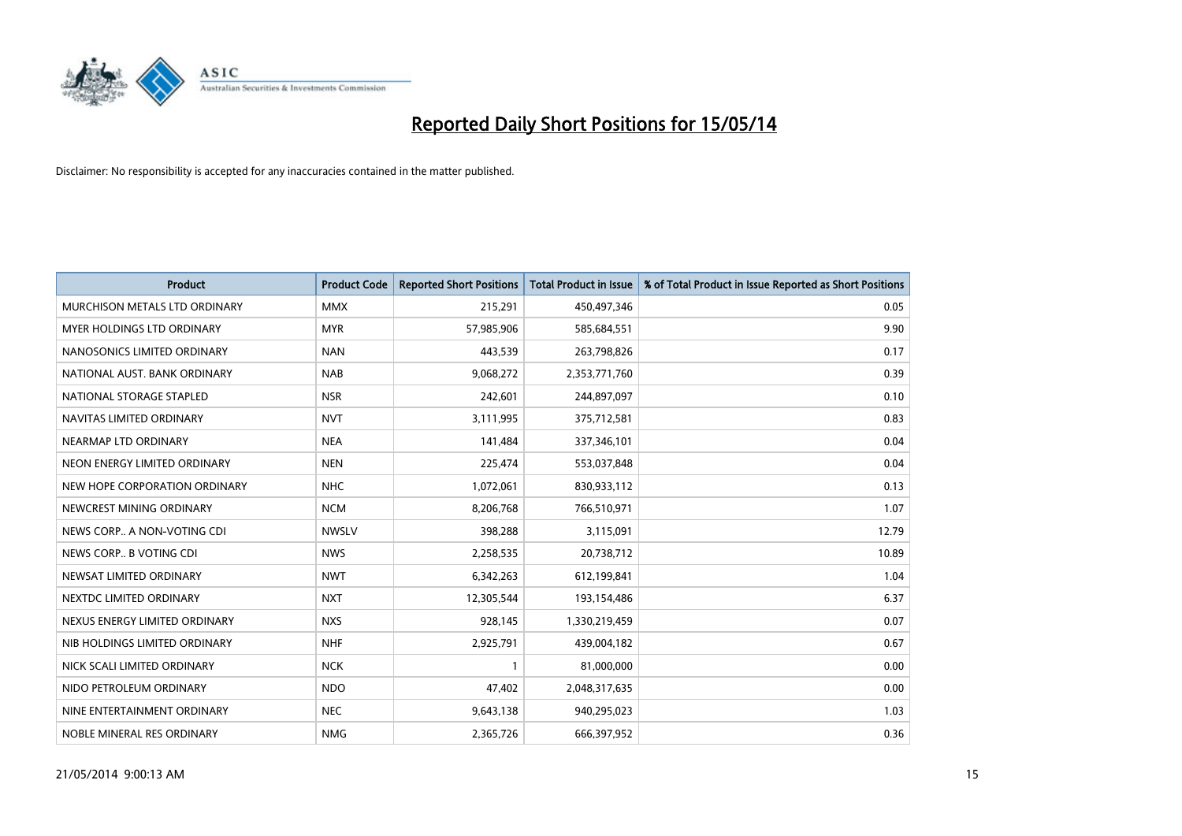

| <b>Product</b>                | <b>Product Code</b> | <b>Reported Short Positions</b> | <b>Total Product in Issue</b> | % of Total Product in Issue Reported as Short Positions |
|-------------------------------|---------------------|---------------------------------|-------------------------------|---------------------------------------------------------|
| MURCHISON METALS LTD ORDINARY | <b>MMX</b>          | 215,291                         | 450,497,346                   | 0.05                                                    |
| MYER HOLDINGS LTD ORDINARY    | <b>MYR</b>          | 57,985,906                      | 585,684,551                   | 9.90                                                    |
| NANOSONICS LIMITED ORDINARY   | <b>NAN</b>          | 443,539                         | 263,798,826                   | 0.17                                                    |
| NATIONAL AUST, BANK ORDINARY  | <b>NAB</b>          | 9,068,272                       | 2,353,771,760                 | 0.39                                                    |
| NATIONAL STORAGE STAPLED      | <b>NSR</b>          | 242,601                         | 244,897,097                   | 0.10                                                    |
| NAVITAS LIMITED ORDINARY      | <b>NVT</b>          | 3,111,995                       | 375,712,581                   | 0.83                                                    |
| NEARMAP LTD ORDINARY          | <b>NEA</b>          | 141,484                         | 337,346,101                   | 0.04                                                    |
| NEON ENERGY LIMITED ORDINARY  | <b>NEN</b>          | 225,474                         | 553,037,848                   | 0.04                                                    |
| NEW HOPE CORPORATION ORDINARY | <b>NHC</b>          | 1,072,061                       | 830,933,112                   | 0.13                                                    |
| NEWCREST MINING ORDINARY      | <b>NCM</b>          | 8,206,768                       | 766,510,971                   | 1.07                                                    |
| NEWS CORP A NON-VOTING CDI    | <b>NWSLV</b>        | 398,288                         | 3,115,091                     | 12.79                                                   |
| NEWS CORP B VOTING CDI        | <b>NWS</b>          | 2,258,535                       | 20,738,712                    | 10.89                                                   |
| NEWSAT LIMITED ORDINARY       | <b>NWT</b>          | 6,342,263                       | 612,199,841                   | 1.04                                                    |
| NEXTDC LIMITED ORDINARY       | <b>NXT</b>          | 12,305,544                      | 193,154,486                   | 6.37                                                    |
| NEXUS ENERGY LIMITED ORDINARY | <b>NXS</b>          | 928,145                         | 1,330,219,459                 | 0.07                                                    |
| NIB HOLDINGS LIMITED ORDINARY | <b>NHF</b>          | 2,925,791                       | 439,004,182                   | 0.67                                                    |
| NICK SCALI LIMITED ORDINARY   | <b>NCK</b>          | $\mathbf{1}$                    | 81,000,000                    | 0.00                                                    |
| NIDO PETROLEUM ORDINARY       | <b>NDO</b>          | 47,402                          | 2,048,317,635                 | 0.00                                                    |
| NINE ENTERTAINMENT ORDINARY   | <b>NEC</b>          | 9,643,138                       | 940,295,023                   | 1.03                                                    |
| NOBLE MINERAL RES ORDINARY    | <b>NMG</b>          | 2,365,726                       | 666,397,952                   | 0.36                                                    |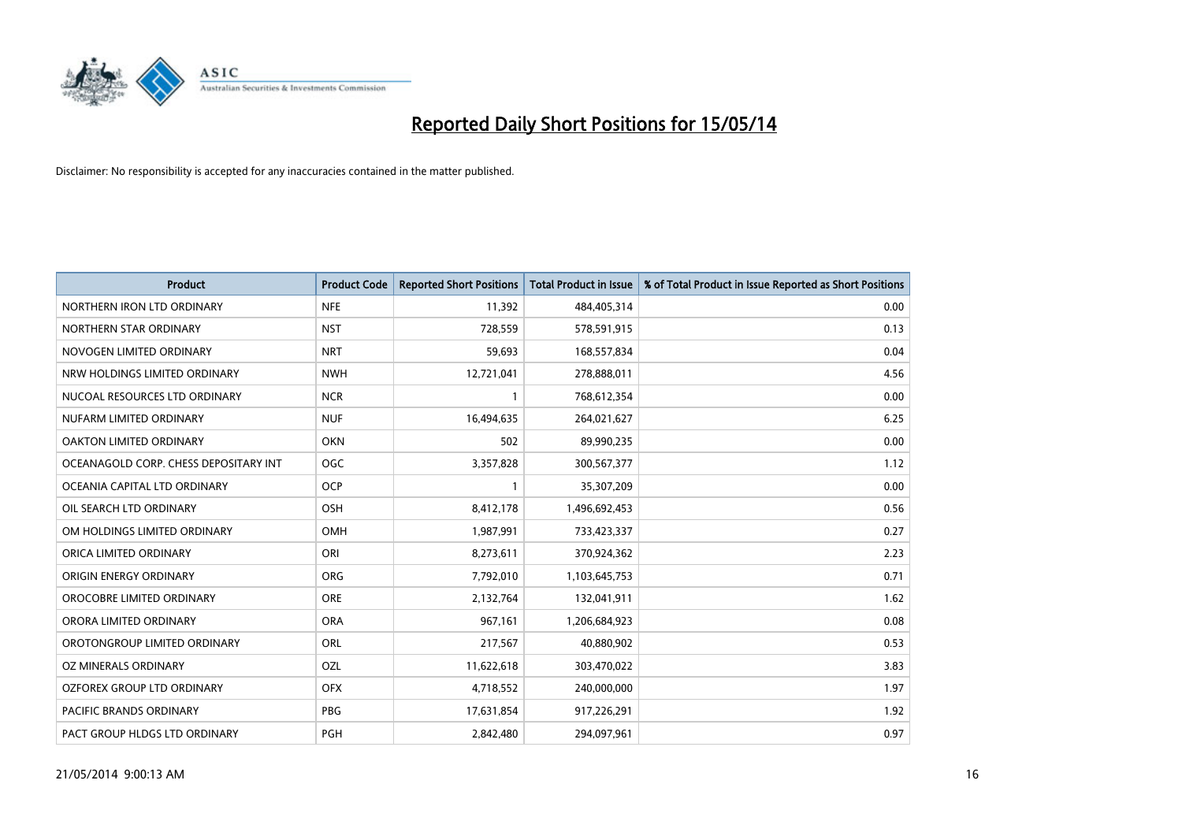

| <b>Product</b>                        | <b>Product Code</b> | <b>Reported Short Positions</b> | <b>Total Product in Issue</b> | % of Total Product in Issue Reported as Short Positions |
|---------------------------------------|---------------------|---------------------------------|-------------------------------|---------------------------------------------------------|
| NORTHERN IRON LTD ORDINARY            | <b>NFE</b>          | 11,392                          | 484,405,314                   | 0.00                                                    |
| NORTHERN STAR ORDINARY                | <b>NST</b>          | 728,559                         | 578,591,915                   | 0.13                                                    |
| NOVOGEN LIMITED ORDINARY              | <b>NRT</b>          | 59,693                          | 168,557,834                   | 0.04                                                    |
| NRW HOLDINGS LIMITED ORDINARY         | <b>NWH</b>          | 12,721,041                      | 278,888,011                   | 4.56                                                    |
| NUCOAL RESOURCES LTD ORDINARY         | <b>NCR</b>          | $\mathbf{1}$                    | 768,612,354                   | 0.00                                                    |
| NUFARM LIMITED ORDINARY               | <b>NUF</b>          | 16,494,635                      | 264,021,627                   | 6.25                                                    |
| OAKTON LIMITED ORDINARY               | <b>OKN</b>          | 502                             | 89,990,235                    | 0.00                                                    |
| OCEANAGOLD CORP. CHESS DEPOSITARY INT | <b>OGC</b>          | 3,357,828                       | 300,567,377                   | 1.12                                                    |
| OCEANIA CAPITAL LTD ORDINARY          | <b>OCP</b>          | 1                               | 35,307,209                    | 0.00                                                    |
| OIL SEARCH LTD ORDINARY               | OSH                 | 8,412,178                       | 1,496,692,453                 | 0.56                                                    |
| OM HOLDINGS LIMITED ORDINARY          | <b>OMH</b>          | 1,987,991                       | 733,423,337                   | 0.27                                                    |
| ORICA LIMITED ORDINARY                | ORI                 | 8,273,611                       | 370,924,362                   | 2.23                                                    |
| ORIGIN ENERGY ORDINARY                | <b>ORG</b>          | 7,792,010                       | 1,103,645,753                 | 0.71                                                    |
| OROCOBRE LIMITED ORDINARY             | <b>ORE</b>          | 2,132,764                       | 132,041,911                   | 1.62                                                    |
| ORORA LIMITED ORDINARY                | <b>ORA</b>          | 967,161                         | 1,206,684,923                 | 0.08                                                    |
| OROTONGROUP LIMITED ORDINARY          | ORL                 | 217,567                         | 40,880,902                    | 0.53                                                    |
| OZ MINERALS ORDINARY                  | OZL                 | 11,622,618                      | 303,470,022                   | 3.83                                                    |
| OZFOREX GROUP LTD ORDINARY            | <b>OFX</b>          | 4,718,552                       | 240,000,000                   | 1.97                                                    |
| <b>PACIFIC BRANDS ORDINARY</b>        | <b>PBG</b>          | 17,631,854                      | 917,226,291                   | 1.92                                                    |
| PACT GROUP HLDGS LTD ORDINARY         | PGH                 | 2,842,480                       | 294,097,961                   | 0.97                                                    |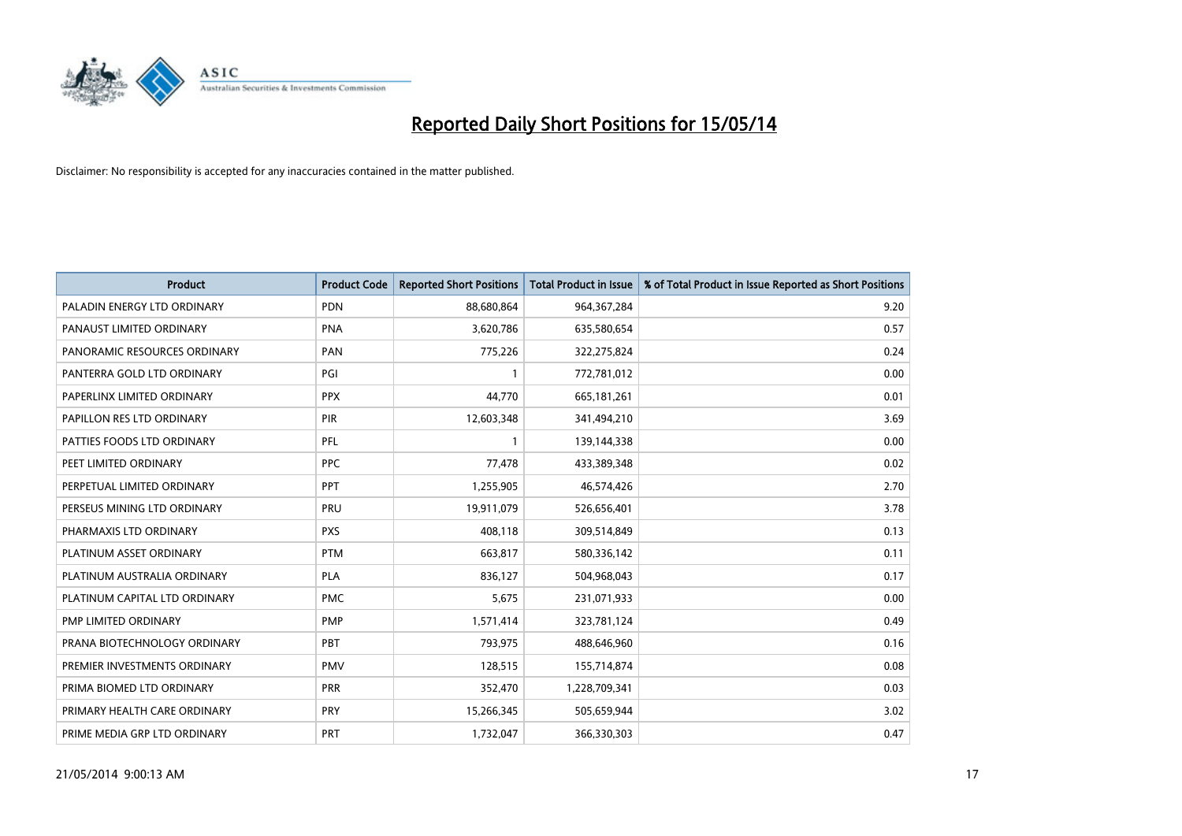

| <b>Product</b>                | <b>Product Code</b> | <b>Reported Short Positions</b> | <b>Total Product in Issue</b> | % of Total Product in Issue Reported as Short Positions |
|-------------------------------|---------------------|---------------------------------|-------------------------------|---------------------------------------------------------|
| PALADIN ENERGY LTD ORDINARY   | <b>PDN</b>          | 88,680,864                      | 964,367,284                   | 9.20                                                    |
| PANAUST LIMITED ORDINARY      | <b>PNA</b>          | 3,620,786                       | 635,580,654                   | 0.57                                                    |
| PANORAMIC RESOURCES ORDINARY  | PAN                 | 775,226                         | 322,275,824                   | 0.24                                                    |
| PANTERRA GOLD LTD ORDINARY    | PGI                 | $\mathbf{1}$                    | 772,781,012                   | 0.00                                                    |
| PAPERLINX LIMITED ORDINARY    | <b>PPX</b>          | 44,770                          | 665,181,261                   | 0.01                                                    |
| PAPILLON RES LTD ORDINARY     | <b>PIR</b>          | 12,603,348                      | 341,494,210                   | 3.69                                                    |
| PATTIES FOODS LTD ORDINARY    | PFL                 | $\mathbf{1}$                    | 139,144,338                   | 0.00                                                    |
| PEET LIMITED ORDINARY         | <b>PPC</b>          | 77,478                          | 433,389,348                   | 0.02                                                    |
| PERPETUAL LIMITED ORDINARY    | PPT                 | 1,255,905                       | 46,574,426                    | 2.70                                                    |
| PERSEUS MINING LTD ORDINARY   | <b>PRU</b>          | 19,911,079                      | 526,656,401                   | 3.78                                                    |
| PHARMAXIS LTD ORDINARY        | <b>PXS</b>          | 408,118                         | 309,514,849                   | 0.13                                                    |
| PLATINUM ASSET ORDINARY       | <b>PTM</b>          | 663,817                         | 580,336,142                   | 0.11                                                    |
| PLATINUM AUSTRALIA ORDINARY   | PLA                 | 836,127                         | 504,968,043                   | 0.17                                                    |
| PLATINUM CAPITAL LTD ORDINARY | <b>PMC</b>          | 5,675                           | 231,071,933                   | 0.00                                                    |
| PMP LIMITED ORDINARY          | <b>PMP</b>          | 1,571,414                       | 323,781,124                   | 0.49                                                    |
| PRANA BIOTECHNOLOGY ORDINARY  | PBT                 | 793,975                         | 488,646,960                   | 0.16                                                    |
| PREMIER INVESTMENTS ORDINARY  | PMV                 | 128,515                         | 155,714,874                   | 0.08                                                    |
| PRIMA BIOMED LTD ORDINARY     | <b>PRR</b>          | 352,470                         | 1,228,709,341                 | 0.03                                                    |
| PRIMARY HEALTH CARE ORDINARY  | <b>PRY</b>          | 15,266,345                      | 505,659,944                   | 3.02                                                    |
| PRIME MEDIA GRP LTD ORDINARY  | <b>PRT</b>          | 1,732,047                       | 366,330,303                   | 0.47                                                    |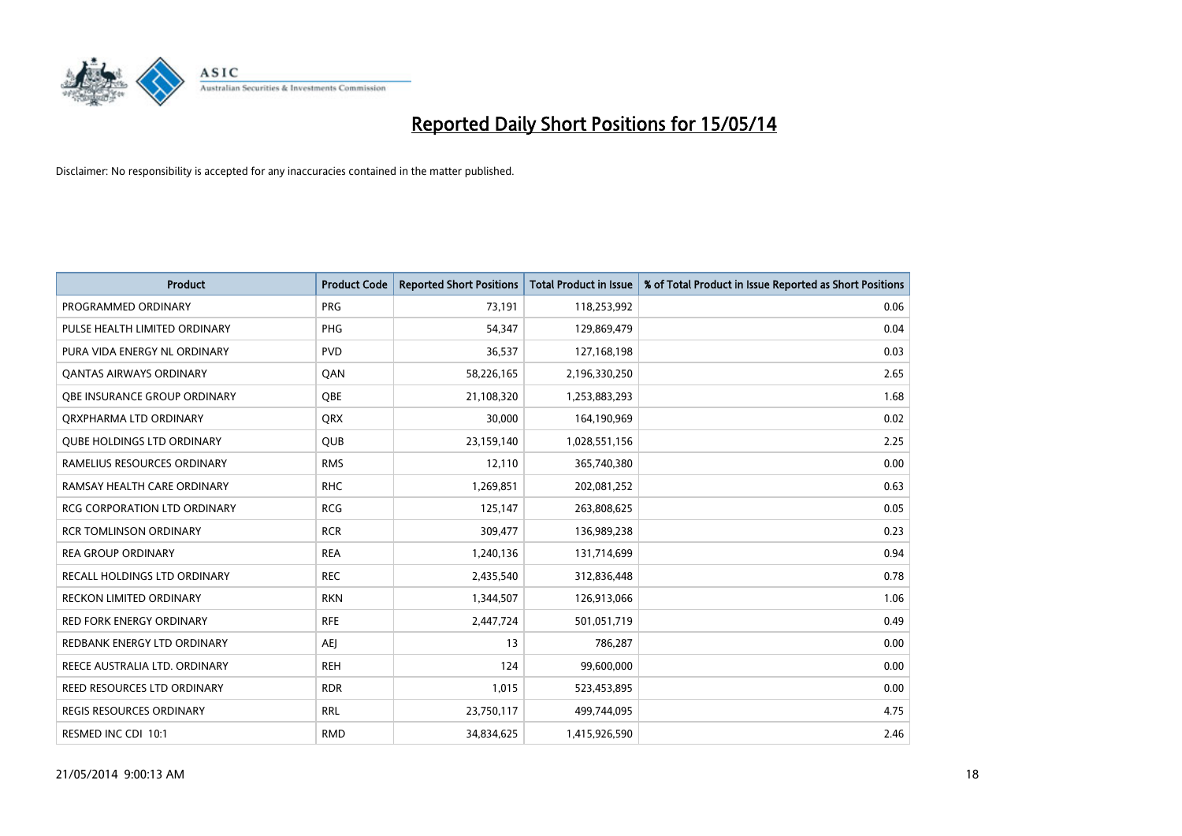

| <b>Product</b>                      | <b>Product Code</b> | <b>Reported Short Positions</b> | <b>Total Product in Issue</b> | % of Total Product in Issue Reported as Short Positions |
|-------------------------------------|---------------------|---------------------------------|-------------------------------|---------------------------------------------------------|
| PROGRAMMED ORDINARY                 | <b>PRG</b>          | 73,191                          | 118,253,992                   | 0.06                                                    |
| PULSE HEALTH LIMITED ORDINARY       | PHG                 | 54,347                          | 129,869,479                   | 0.04                                                    |
| PURA VIDA ENERGY NL ORDINARY        | <b>PVD</b>          | 36,537                          | 127,168,198                   | 0.03                                                    |
| <b>QANTAS AIRWAYS ORDINARY</b>      | QAN                 | 58,226,165                      | 2,196,330,250                 | 2.65                                                    |
| <b>OBE INSURANCE GROUP ORDINARY</b> | <b>OBE</b>          | 21,108,320                      | 1,253,883,293                 | 1.68                                                    |
| ORXPHARMA LTD ORDINARY              | <b>QRX</b>          | 30,000                          | 164,190,969                   | 0.02                                                    |
| <b>QUBE HOLDINGS LTD ORDINARY</b>   | QUB                 | 23,159,140                      | 1,028,551,156                 | 2.25                                                    |
| RAMELIUS RESOURCES ORDINARY         | <b>RMS</b>          | 12,110                          | 365,740,380                   | 0.00                                                    |
| RAMSAY HEALTH CARE ORDINARY         | <b>RHC</b>          | 1,269,851                       | 202,081,252                   | 0.63                                                    |
| <b>RCG CORPORATION LTD ORDINARY</b> | <b>RCG</b>          | 125,147                         | 263,808,625                   | 0.05                                                    |
| <b>RCR TOMLINSON ORDINARY</b>       | <b>RCR</b>          | 309,477                         | 136,989,238                   | 0.23                                                    |
| <b>REA GROUP ORDINARY</b>           | <b>REA</b>          | 1,240,136                       | 131,714,699                   | 0.94                                                    |
| RECALL HOLDINGS LTD ORDINARY        | <b>REC</b>          | 2,435,540                       | 312,836,448                   | 0.78                                                    |
| <b>RECKON LIMITED ORDINARY</b>      | <b>RKN</b>          | 1,344,507                       | 126,913,066                   | 1.06                                                    |
| <b>RED FORK ENERGY ORDINARY</b>     | <b>RFE</b>          | 2,447,724                       | 501,051,719                   | 0.49                                                    |
| REDBANK ENERGY LTD ORDINARY         | AEJ                 | 13                              | 786,287                       | 0.00                                                    |
| REECE AUSTRALIA LTD. ORDINARY       | <b>REH</b>          | 124                             | 99,600,000                    | 0.00                                                    |
| REED RESOURCES LTD ORDINARY         | <b>RDR</b>          | 1,015                           | 523,453,895                   | 0.00                                                    |
| <b>REGIS RESOURCES ORDINARY</b>     | <b>RRL</b>          | 23,750,117                      | 499,744,095                   | 4.75                                                    |
| RESMED INC CDI 10:1                 | <b>RMD</b>          | 34,834,625                      | 1,415,926,590                 | 2.46                                                    |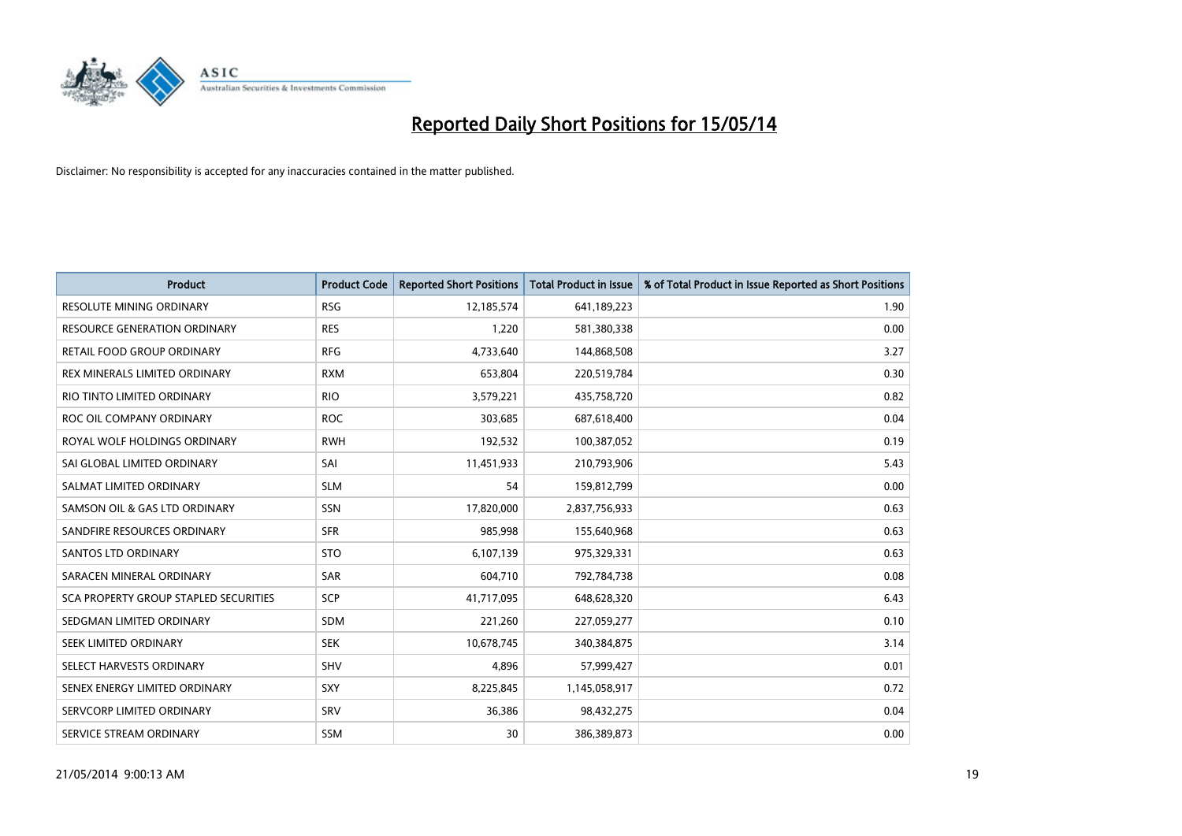

| <b>Product</b>                        | <b>Product Code</b> | <b>Reported Short Positions</b> | <b>Total Product in Issue</b> | % of Total Product in Issue Reported as Short Positions |
|---------------------------------------|---------------------|---------------------------------|-------------------------------|---------------------------------------------------------|
| <b>RESOLUTE MINING ORDINARY</b>       | <b>RSG</b>          | 12,185,574                      | 641,189,223                   | 1.90                                                    |
| RESOURCE GENERATION ORDINARY          | <b>RES</b>          | 1,220                           | 581,380,338                   | 0.00                                                    |
| RETAIL FOOD GROUP ORDINARY            | <b>RFG</b>          | 4,733,640                       | 144,868,508                   | 3.27                                                    |
| REX MINERALS LIMITED ORDINARY         | <b>RXM</b>          | 653,804                         | 220,519,784                   | 0.30                                                    |
| RIO TINTO LIMITED ORDINARY            | <b>RIO</b>          | 3,579,221                       | 435,758,720                   | 0.82                                                    |
| ROC OIL COMPANY ORDINARY              | <b>ROC</b>          | 303,685                         | 687,618,400                   | 0.04                                                    |
| ROYAL WOLF HOLDINGS ORDINARY          | <b>RWH</b>          | 192,532                         | 100,387,052                   | 0.19                                                    |
| SAI GLOBAL LIMITED ORDINARY           | SAI                 | 11,451,933                      | 210,793,906                   | 5.43                                                    |
| SALMAT LIMITED ORDINARY               | <b>SLM</b>          | 54                              | 159,812,799                   | 0.00                                                    |
| SAMSON OIL & GAS LTD ORDINARY         | SSN                 | 17,820,000                      | 2,837,756,933                 | 0.63                                                    |
| SANDFIRE RESOURCES ORDINARY           | <b>SFR</b>          | 985,998                         | 155,640,968                   | 0.63                                                    |
| <b>SANTOS LTD ORDINARY</b>            | <b>STO</b>          | 6,107,139                       | 975,329,331                   | 0.63                                                    |
| SARACEN MINERAL ORDINARY              | <b>SAR</b>          | 604,710                         | 792,784,738                   | 0.08                                                    |
| SCA PROPERTY GROUP STAPLED SECURITIES | SCP                 | 41,717,095                      | 648,628,320                   | 6.43                                                    |
| SEDGMAN LIMITED ORDINARY              | <b>SDM</b>          | 221,260                         | 227,059,277                   | 0.10                                                    |
| SEEK LIMITED ORDINARY                 | <b>SEK</b>          | 10,678,745                      | 340,384,875                   | 3.14                                                    |
| SELECT HARVESTS ORDINARY              | SHV                 | 4,896                           | 57,999,427                    | 0.01                                                    |
| SENEX ENERGY LIMITED ORDINARY         | <b>SXY</b>          | 8,225,845                       | 1,145,058,917                 | 0.72                                                    |
| SERVCORP LIMITED ORDINARY             | SRV                 | 36,386                          | 98,432,275                    | 0.04                                                    |
| SERVICE STREAM ORDINARY               | <b>SSM</b>          | 30                              | 386,389,873                   | 0.00                                                    |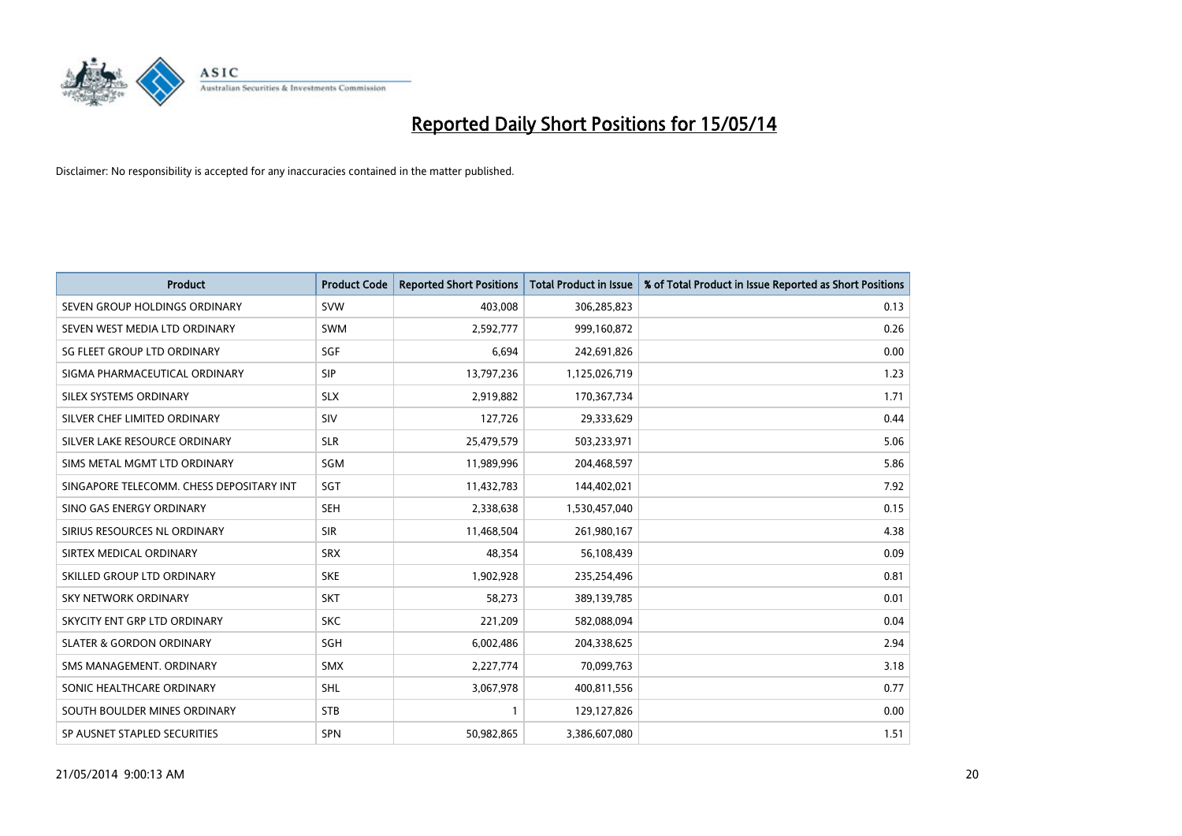

| <b>Product</b>                           | <b>Product Code</b> | <b>Reported Short Positions</b> | <b>Total Product in Issue</b> | % of Total Product in Issue Reported as Short Positions |
|------------------------------------------|---------------------|---------------------------------|-------------------------------|---------------------------------------------------------|
| SEVEN GROUP HOLDINGS ORDINARY            | <b>SVW</b>          | 403,008                         | 306,285,823                   | 0.13                                                    |
| SEVEN WEST MEDIA LTD ORDINARY            | <b>SWM</b>          | 2,592,777                       | 999,160,872                   | 0.26                                                    |
| SG FLEET GROUP LTD ORDINARY              | SGF                 | 6,694                           | 242,691,826                   | 0.00                                                    |
| SIGMA PHARMACEUTICAL ORDINARY            | <b>SIP</b>          | 13,797,236                      | 1,125,026,719                 | 1.23                                                    |
| SILEX SYSTEMS ORDINARY                   | <b>SLX</b>          | 2,919,882                       | 170,367,734                   | 1.71                                                    |
| SILVER CHEF LIMITED ORDINARY             | SIV                 | 127,726                         | 29,333,629                    | 0.44                                                    |
| SILVER LAKE RESOURCE ORDINARY            | <b>SLR</b>          | 25,479,579                      | 503,233,971                   | 5.06                                                    |
| SIMS METAL MGMT LTD ORDINARY             | SGM                 | 11,989,996                      | 204,468,597                   | 5.86                                                    |
| SINGAPORE TELECOMM. CHESS DEPOSITARY INT | SGT                 | 11,432,783                      | 144,402,021                   | 7.92                                                    |
| SINO GAS ENERGY ORDINARY                 | SEH                 | 2,338,638                       | 1,530,457,040                 | 0.15                                                    |
| SIRIUS RESOURCES NL ORDINARY             | <b>SIR</b>          | 11,468,504                      | 261,980,167                   | 4.38                                                    |
| SIRTEX MEDICAL ORDINARY                  | <b>SRX</b>          | 48,354                          | 56,108,439                    | 0.09                                                    |
| SKILLED GROUP LTD ORDINARY               | <b>SKE</b>          | 1,902,928                       | 235,254,496                   | 0.81                                                    |
| <b>SKY NETWORK ORDINARY</b>              | <b>SKT</b>          | 58,273                          | 389,139,785                   | 0.01                                                    |
| SKYCITY ENT GRP LTD ORDINARY             | <b>SKC</b>          | 221,209                         | 582,088,094                   | 0.04                                                    |
| <b>SLATER &amp; GORDON ORDINARY</b>      | SGH                 | 6,002,486                       | 204,338,625                   | 2.94                                                    |
| SMS MANAGEMENT, ORDINARY                 | <b>SMX</b>          | 2,227,774                       | 70,099,763                    | 3.18                                                    |
| SONIC HEALTHCARE ORDINARY                | <b>SHL</b>          | 3,067,978                       | 400,811,556                   | 0.77                                                    |
| SOUTH BOULDER MINES ORDINARY             | <b>STB</b>          | $\mathbf{1}$                    | 129,127,826                   | 0.00                                                    |
| SP AUSNET STAPLED SECURITIES             | <b>SPN</b>          | 50,982,865                      | 3,386,607,080                 | 1.51                                                    |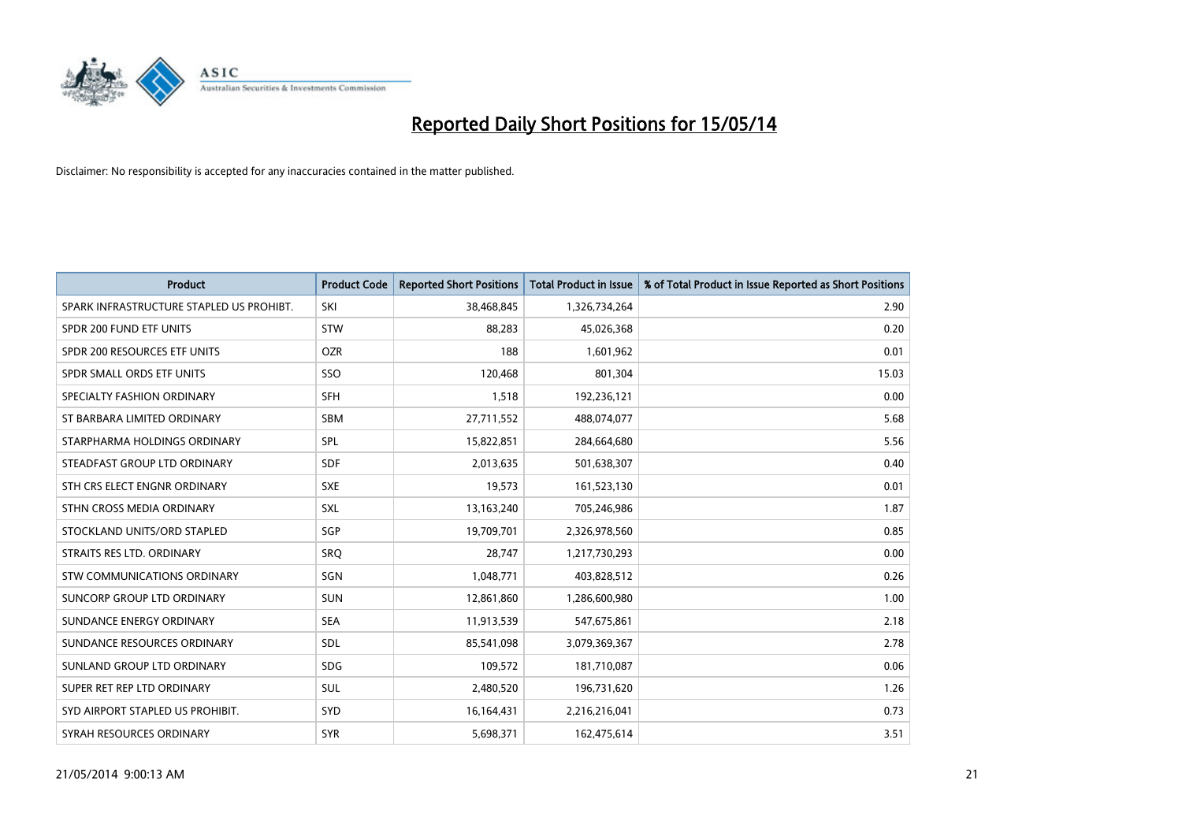

| <b>Product</b>                           | <b>Product Code</b> | <b>Reported Short Positions</b> | <b>Total Product in Issue</b> | % of Total Product in Issue Reported as Short Positions |
|------------------------------------------|---------------------|---------------------------------|-------------------------------|---------------------------------------------------------|
| SPARK INFRASTRUCTURE STAPLED US PROHIBT. | SKI                 | 38,468,845                      | 1,326,734,264                 | 2.90                                                    |
| SPDR 200 FUND ETF UNITS                  | <b>STW</b>          | 88,283                          | 45,026,368                    | 0.20                                                    |
| SPDR 200 RESOURCES ETF UNITS             | <b>OZR</b>          | 188                             | 1,601,962                     | 0.01                                                    |
| SPDR SMALL ORDS ETF UNITS                | SSO                 | 120,468                         | 801,304                       | 15.03                                                   |
| SPECIALTY FASHION ORDINARY               | SFH                 | 1,518                           | 192,236,121                   | 0.00                                                    |
| ST BARBARA LIMITED ORDINARY              | SBM                 | 27,711,552                      | 488,074,077                   | 5.68                                                    |
| STARPHARMA HOLDINGS ORDINARY             | SPL                 | 15,822,851                      | 284,664,680                   | 5.56                                                    |
| STEADFAST GROUP LTD ORDINARY             | <b>SDF</b>          | 2,013,635                       | 501,638,307                   | 0.40                                                    |
| STH CRS ELECT ENGNR ORDINARY             | <b>SXE</b>          | 19,573                          | 161,523,130                   | 0.01                                                    |
| STHN CROSS MEDIA ORDINARY                | <b>SXL</b>          | 13,163,240                      | 705,246,986                   | 1.87                                                    |
| STOCKLAND UNITS/ORD STAPLED              | SGP                 | 19,709,701                      | 2,326,978,560                 | 0.85                                                    |
| STRAITS RES LTD. ORDINARY                | SRO                 | 28,747                          | 1,217,730,293                 | 0.00                                                    |
| STW COMMUNICATIONS ORDINARY              | SGN                 | 1,048,771                       | 403,828,512                   | 0.26                                                    |
| SUNCORP GROUP LTD ORDINARY               | <b>SUN</b>          | 12,861,860                      | 1,286,600,980                 | 1.00                                                    |
| SUNDANCE ENERGY ORDINARY                 | <b>SEA</b>          | 11,913,539                      | 547,675,861                   | 2.18                                                    |
| SUNDANCE RESOURCES ORDINARY              | <b>SDL</b>          | 85,541,098                      | 3,079,369,367                 | 2.78                                                    |
| SUNLAND GROUP LTD ORDINARY               | <b>SDG</b>          | 109,572                         | 181,710,087                   | 0.06                                                    |
| SUPER RET REP LTD ORDINARY               | <b>SUL</b>          | 2,480,520                       | 196,731,620                   | 1.26                                                    |
| SYD AIRPORT STAPLED US PROHIBIT.         | SYD                 | 16,164,431                      | 2,216,216,041                 | 0.73                                                    |
| SYRAH RESOURCES ORDINARY                 | <b>SYR</b>          | 5,698,371                       | 162,475,614                   | 3.51                                                    |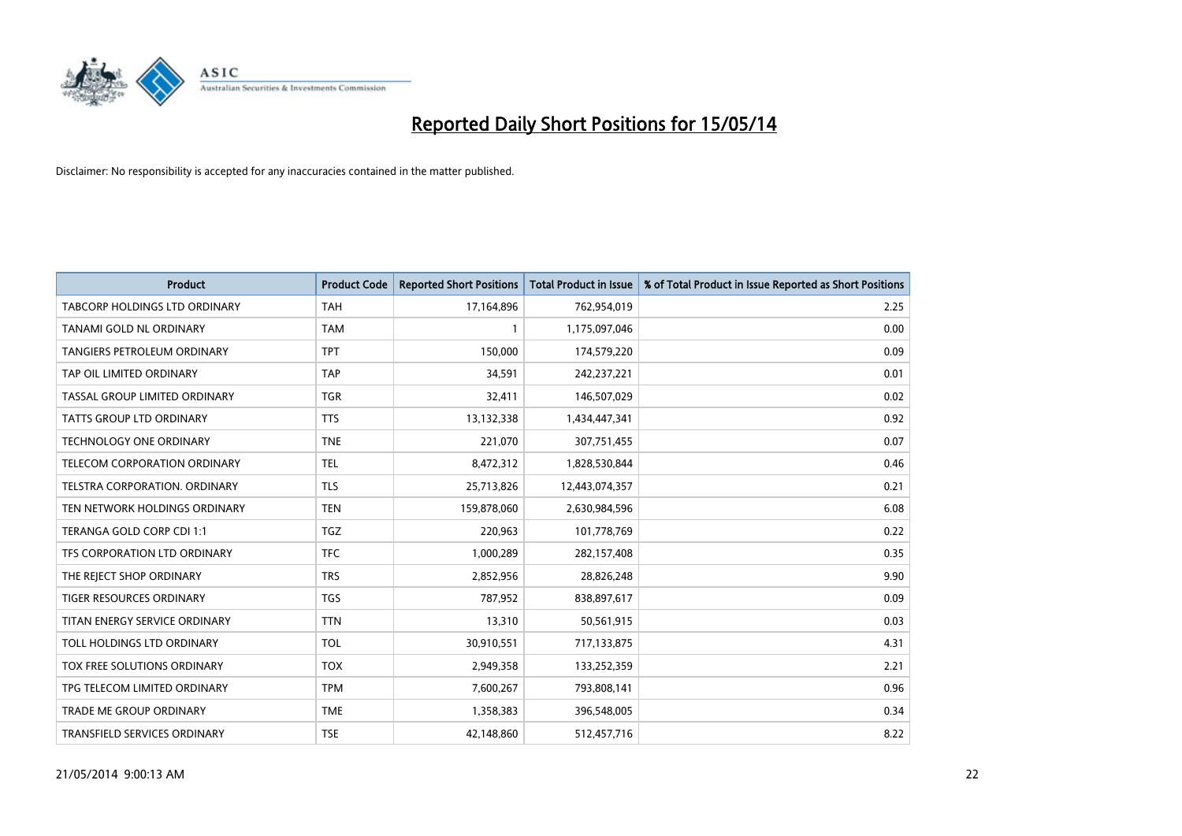

| <b>Product</b>                       | <b>Product Code</b> | <b>Reported Short Positions</b> | <b>Total Product in Issue</b> | % of Total Product in Issue Reported as Short Positions |
|--------------------------------------|---------------------|---------------------------------|-------------------------------|---------------------------------------------------------|
| <b>TABCORP HOLDINGS LTD ORDINARY</b> | <b>TAH</b>          | 17,164,896                      | 762,954,019                   | 2.25                                                    |
| TANAMI GOLD NL ORDINARY              | <b>TAM</b>          |                                 | 1,175,097,046                 | 0.00                                                    |
| <b>TANGIERS PETROLEUM ORDINARY</b>   | <b>TPT</b>          | 150,000                         | 174,579,220                   | 0.09                                                    |
| TAP OIL LIMITED ORDINARY             | <b>TAP</b>          | 34,591                          | 242,237,221                   | 0.01                                                    |
| TASSAL GROUP LIMITED ORDINARY        | <b>TGR</b>          | 32,411                          | 146,507,029                   | 0.02                                                    |
| <b>TATTS GROUP LTD ORDINARY</b>      | <b>TTS</b>          | 13,132,338                      | 1,434,447,341                 | 0.92                                                    |
| <b>TECHNOLOGY ONE ORDINARY</b>       | <b>TNE</b>          | 221,070                         | 307,751,455                   | 0.07                                                    |
| TELECOM CORPORATION ORDINARY         | <b>TEL</b>          | 8,472,312                       | 1,828,530,844                 | 0.46                                                    |
| TELSTRA CORPORATION, ORDINARY        | <b>TLS</b>          | 25,713,826                      | 12,443,074,357                | 0.21                                                    |
| TEN NETWORK HOLDINGS ORDINARY        | <b>TEN</b>          | 159,878,060                     | 2,630,984,596                 | 6.08                                                    |
| TERANGA GOLD CORP CDI 1:1            | <b>TGZ</b>          | 220,963                         | 101,778,769                   | 0.22                                                    |
| TFS CORPORATION LTD ORDINARY         | <b>TFC</b>          | 1,000,289                       | 282,157,408                   | 0.35                                                    |
| THE REJECT SHOP ORDINARY             | <b>TRS</b>          | 2,852,956                       | 28,826,248                    | 9.90                                                    |
| <b>TIGER RESOURCES ORDINARY</b>      | <b>TGS</b>          | 787,952                         | 838,897,617                   | 0.09                                                    |
| TITAN ENERGY SERVICE ORDINARY        | <b>TTN</b>          | 13,310                          | 50,561,915                    | 0.03                                                    |
| TOLL HOLDINGS LTD ORDINARY           | <b>TOL</b>          | 30,910,551                      | 717,133,875                   | 4.31                                                    |
| TOX FREE SOLUTIONS ORDINARY          | <b>TOX</b>          | 2,949,358                       | 133,252,359                   | 2.21                                                    |
| TPG TELECOM LIMITED ORDINARY         | <b>TPM</b>          | 7,600,267                       | 793,808,141                   | 0.96                                                    |
| <b>TRADE ME GROUP ORDINARY</b>       | <b>TME</b>          | 1,358,383                       | 396,548,005                   | 0.34                                                    |
| TRANSFIELD SERVICES ORDINARY         | <b>TSE</b>          | 42,148,860                      | 512,457,716                   | 8.22                                                    |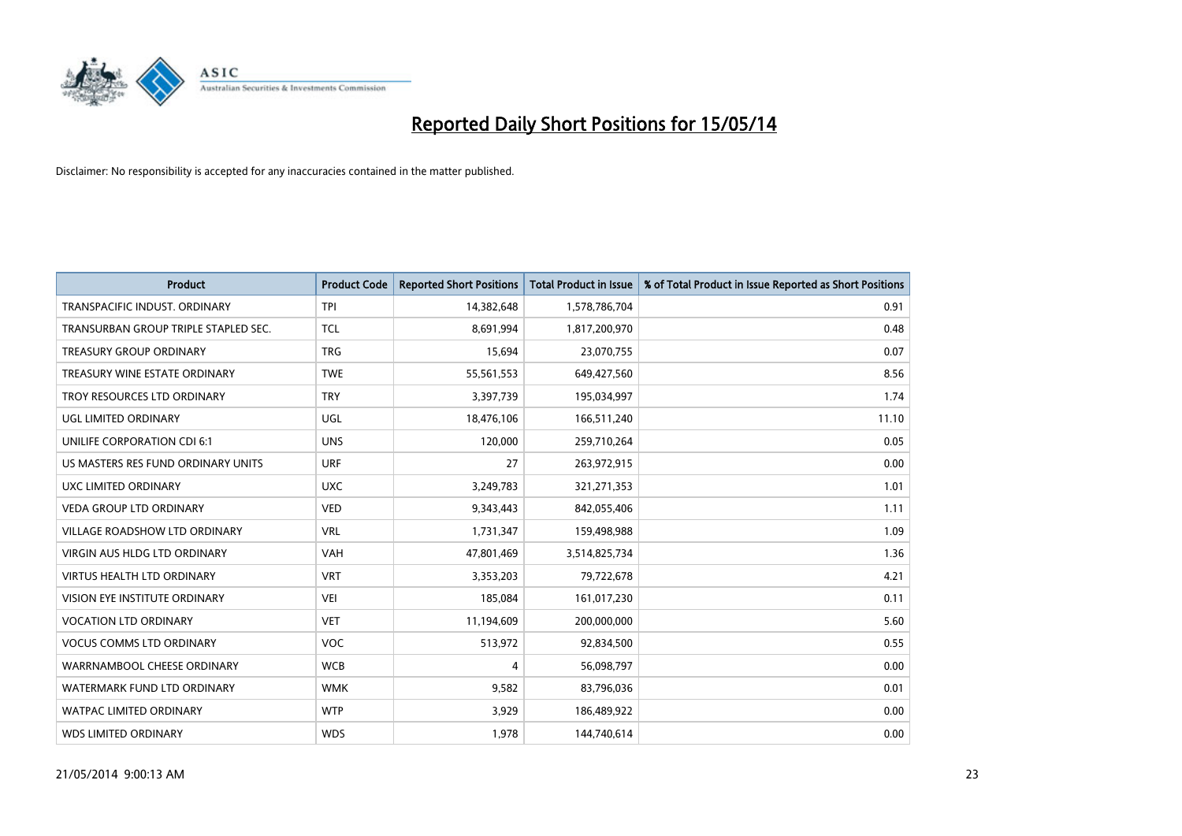

| <b>Product</b>                       | <b>Product Code</b> | <b>Reported Short Positions</b> | <b>Total Product in Issue</b> | % of Total Product in Issue Reported as Short Positions |
|--------------------------------------|---------------------|---------------------------------|-------------------------------|---------------------------------------------------------|
| TRANSPACIFIC INDUST, ORDINARY        | <b>TPI</b>          | 14,382,648                      | 1,578,786,704                 | 0.91                                                    |
| TRANSURBAN GROUP TRIPLE STAPLED SEC. | <b>TCL</b>          | 8,691,994                       | 1,817,200,970                 | 0.48                                                    |
| <b>TREASURY GROUP ORDINARY</b>       | <b>TRG</b>          | 15,694                          | 23,070,755                    | 0.07                                                    |
| TREASURY WINE ESTATE ORDINARY        | <b>TWE</b>          | 55,561,553                      | 649,427,560                   | 8.56                                                    |
| TROY RESOURCES LTD ORDINARY          | <b>TRY</b>          | 3,397,739                       | 195,034,997                   | 1.74                                                    |
| <b>UGL LIMITED ORDINARY</b>          | UGL                 | 18,476,106                      | 166,511,240                   | 11.10                                                   |
| UNILIFE CORPORATION CDI 6:1          | <b>UNS</b>          | 120,000                         | 259,710,264                   | 0.05                                                    |
| US MASTERS RES FUND ORDINARY UNITS   | <b>URF</b>          | 27                              | 263,972,915                   | 0.00                                                    |
| <b>UXC LIMITED ORDINARY</b>          | <b>UXC</b>          | 3,249,783                       | 321,271,353                   | 1.01                                                    |
| <b>VEDA GROUP LTD ORDINARY</b>       | <b>VED</b>          | 9,343,443                       | 842,055,406                   | 1.11                                                    |
| VILLAGE ROADSHOW LTD ORDINARY        | <b>VRL</b>          | 1,731,347                       | 159,498,988                   | 1.09                                                    |
| <b>VIRGIN AUS HLDG LTD ORDINARY</b>  | <b>VAH</b>          | 47,801,469                      | 3,514,825,734                 | 1.36                                                    |
| VIRTUS HEALTH LTD ORDINARY           | <b>VRT</b>          | 3,353,203                       | 79,722,678                    | 4.21                                                    |
| <b>VISION EYE INSTITUTE ORDINARY</b> | <b>VEI</b>          | 185,084                         | 161,017,230                   | 0.11                                                    |
| <b>VOCATION LTD ORDINARY</b>         | <b>VET</b>          | 11,194,609                      | 200,000,000                   | 5.60                                                    |
| <b>VOCUS COMMS LTD ORDINARY</b>      | <b>VOC</b>          | 513,972                         | 92,834,500                    | 0.55                                                    |
| WARRNAMBOOL CHEESE ORDINARY          | <b>WCB</b>          | 4                               | 56,098,797                    | 0.00                                                    |
| WATERMARK FUND LTD ORDINARY          | <b>WMK</b>          | 9,582                           | 83,796,036                    | 0.01                                                    |
| <b>WATPAC LIMITED ORDINARY</b>       | <b>WTP</b>          | 3,929                           | 186,489,922                   | 0.00                                                    |
| <b>WDS LIMITED ORDINARY</b>          | <b>WDS</b>          | 1,978                           | 144,740,614                   | 0.00                                                    |